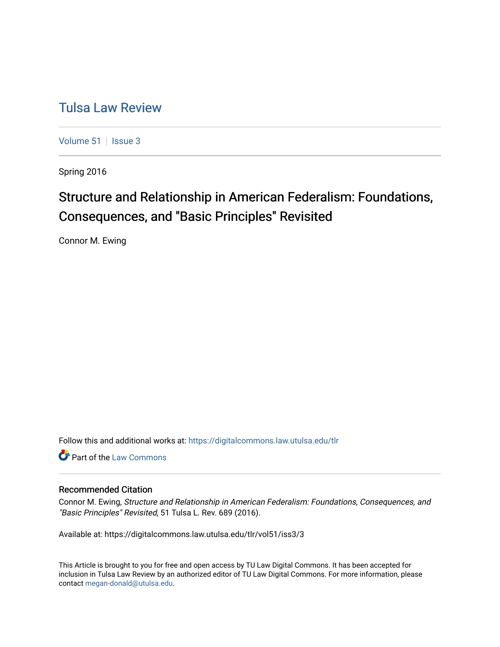# [Tulsa Law Review](https://digitalcommons.law.utulsa.edu/tlr)

[Volume 51](https://digitalcommons.law.utulsa.edu/tlr/vol51) | [Issue 3](https://digitalcommons.law.utulsa.edu/tlr/vol51/iss3)

Spring 2016

# Structure and Relationship in American Federalism: Foundations, Consequences, and "Basic Principles" Revisited

Connor M. Ewing

Follow this and additional works at: [https://digitalcommons.law.utulsa.edu/tlr](https://digitalcommons.law.utulsa.edu/tlr?utm_source=digitalcommons.law.utulsa.edu%2Ftlr%2Fvol51%2Fiss3%2F3&utm_medium=PDF&utm_campaign=PDFCoverPages) 

Part of the [Law Commons](http://network.bepress.com/hgg/discipline/578?utm_source=digitalcommons.law.utulsa.edu%2Ftlr%2Fvol51%2Fiss3%2F3&utm_medium=PDF&utm_campaign=PDFCoverPages)

# Recommended Citation

Connor M. Ewing, Structure and Relationship in American Federalism: Foundations, Consequences, and "Basic Principles" Revisited, 51 Tulsa L. Rev. 689 (2016).

Available at: https://digitalcommons.law.utulsa.edu/tlr/vol51/iss3/3

This Article is brought to you for free and open access by TU Law Digital Commons. It has been accepted for inclusion in Tulsa Law Review by an authorized editor of TU Law Digital Commons. For more information, please contact [megan-donald@utulsa.edu.](mailto:megan-donald@utulsa.edu)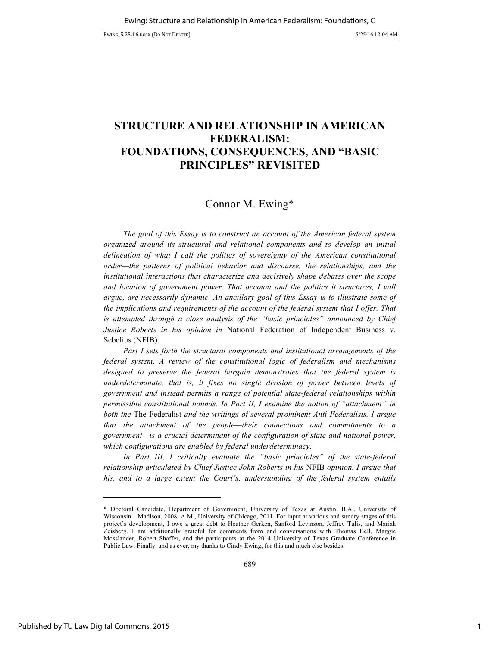# **STRUCTURE AND RELATIONSHIP IN AMERICAN FEDERALISM: FOUNDATIONS, CONSEQUENCES, AND "BASIC PRINCIPLES" REVISITED**

# Connor M. Ewing\*

*The goal of this Essay is to construct an account of the American federal system organized around its structural and relational components and to develop an initial delineation of what I call the politics of sovereignty of the American constitutional order—the patterns of political behavior and discourse, the relationships, and the institutional interactions that characterize and decisively shape debates over the scope and location of government power. That account and the politics it structures, I will argue, are necessarily dynamic. An ancillary goal of this Essay is to illustrate some of the implications and requirements of the account of the federal system that I offer. That is attempted through a close analysis of the "basic principles" announced by Chief Justice Roberts in his opinion in* National Federation of Independent Business v. Sebelius (NFIB)*.*

*Part I sets forth the structural components and institutional arrangements of the federal system. A review of the constitutional logic of federalism and mechanisms designed to preserve the federal bargain demonstrates that the federal system is underdeterminate, that is, it fixes no single division of power between levels of government and instead permits a range of potential state-federal relationships within permissible constitutional bounds. In Part II, I examine the notion of "attachment" in both the* The Federalist *and the writings of several prominent Anti-Federalists. I argue that the attachment of the people—their connections and commitments to a government—is a crucial determinant of the configuration of state and national power, which configurations are enabled by federal underdeterminacy.*

In Part III, I critically evaluate the "basic principles" of the state-federal *relationship articulated by Chief Justice John Roberts in his* NFIB *opinion. I argue that his, and to a large extent the Court's, understanding of the federal system entails* 

-

<sup>\*</sup> Doctoral Candidate, Department of Government, University of Texas at Austin. B.A., University of Wisconsin—Madison, 2008. A.M., University of Chicago, 2011. For input at various and sundry stages of this project's development, I owe a great debt to Heather Gerken, Sanford Levinson, Jeffrey Tulis, and Mariah Zeisberg. I am additionally grateful for comments from and conversations with Thomas Bell, Maggie Mosslander, Robert Shaffer, and the participants at the 2014 University of Texas Graduate Conference in Public Law. Finally, and as ever, my thanks to Cindy Ewing, for this and much else besides.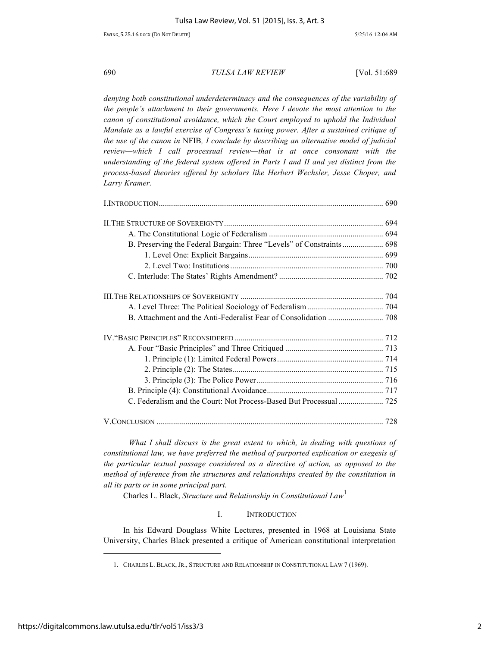*denying both constitutional underdeterminacy and the consequences of the variability of the people's attachment to their governments. Here I devote the most attention to the canon of constitutional avoidance, which the Court employed to uphold the Individual Mandate as a lawful exercise of Congress's taxing power. After a sustained critique of the use of the canon in* NFIB*, I conclude by describing an alternative model of judicial review—which I call processual review—that is at once consonant with the understanding of the federal system offered in Parts I and II and yet distinct from the process-based theories offered by scholars like Herbert Wechsler, Jesse Choper, and Larry Kramer.*

| B. Preserving the Federal Bargain: Three "Levels" of Constraints 698 |  |
|----------------------------------------------------------------------|--|
|                                                                      |  |
|                                                                      |  |
|                                                                      |  |
|                                                                      |  |
|                                                                      |  |
|                                                                      |  |
|                                                                      |  |
|                                                                      |  |
|                                                                      |  |
|                                                                      |  |
|                                                                      |  |
|                                                                      |  |
|                                                                      |  |
|                                                                      |  |

*What I shall discuss is the great extent to which, in dealing with questions of constitutional law, we have preferred the method of purported explication or exegesis of the particular textual passage considered as a directive of action, as opposed to the method of inference from the structures and relationships created by the constitution in all its parts or in some principal part.*

Charles L. Black, *Structure and Relationship in Constitutional Law*<sup>1</sup>

# I. INTRODUCTION

In his Edward Douglass White Lectures, presented in 1968 at Louisiana State University, Charles Black presented a critique of American constitutional interpretation

<sup>1.</sup> CHARLES L. BLACK, JR., STRUCTURE AND RELATIONSHIP IN CONSTITUTIONAL LAW 7 (1969).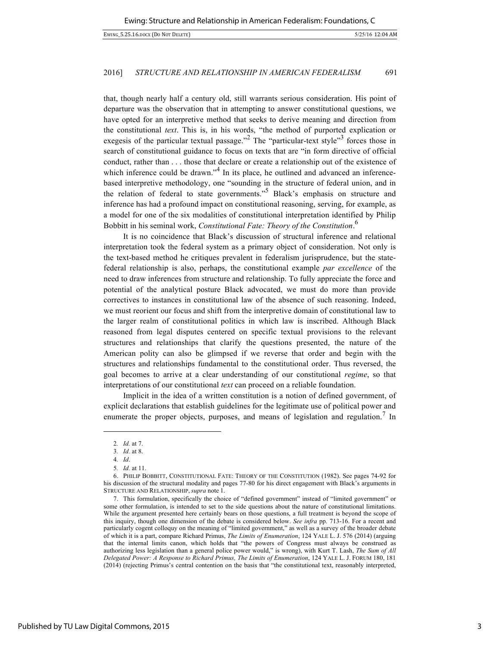that, though nearly half a century old, still warrants serious consideration. His point of departure was the observation that in attempting to answer constitutional questions, we have opted for an interpretive method that seeks to derive meaning and direction from the constitutional *text*. This is, in his words, "the method of purported explication or exegesis of the particular textual passage."<sup>2</sup> The "particular-text style"<sup>3</sup> forces those in search of constitutional guidance to focus on texts that are "in form directive of official conduct, rather than . . . those that declare or create a relationship out of the existence of which inference could be drawn."<sup>4</sup> In its place, he outlined and advanced an inferencebased interpretive methodology, one "sounding in the structure of federal union, and in the relation of federal to state governments. $15$  Black's emphasis on structure and inference has had a profound impact on constitutional reasoning, serving, for example, as a model for one of the six modalities of constitutional interpretation identified by Philip Bobbitt in his seminal work, *Constitutional Fate: Theory of the Constitution*. 6

It is no coincidence that Black's discussion of structural inference and relational interpretation took the federal system as a primary object of consideration. Not only is the text-based method he critiques prevalent in federalism jurisprudence, but the statefederal relationship is also, perhaps, the constitutional example *par excellence* of the need to draw inferences from structure and relationship. To fully appreciate the force and potential of the analytical posture Black advocated, we must do more than provide correctives to instances in constitutional law of the absence of such reasoning. Indeed, we must reorient our focus and shift from the interpretive domain of constitutional law to the larger realm of constitutional politics in which law is inscribed. Although Black reasoned from legal disputes centered on specific textual provisions to the relevant structures and relationships that clarify the questions presented, the nature of the American polity can also be glimpsed if we reverse that order and begin with the structures and relationships fundamental to the constitutional order. Thus reversed, the goal becomes to arrive at a clear understanding of our constitutional *regime*, so that interpretations of our constitutional *text* can proceed on a reliable foundation.

Implicit in the idea of a written constitution is a notion of defined government, of explicit declarations that establish guidelines for the legitimate use of political power and enumerate the proper objects, purposes, and means of legislation and regulation.<sup>7</sup> In

<sup>2</sup>*. Id.* at 7.

<sup>3</sup>*. Id.* at 8.

<sup>4</sup>*. Id*.

<sup>5</sup>*. Id.* at 11.

<sup>6.</sup> PHILIP BOBBITT, CONSTITUTIONAL FATE: THEORY OF THE CONSTITUTION (1982). See pages 74-92 for his discussion of the structural modality and pages 77-80 for his direct engagement with Black's arguments in STRUCTURE AND RELATIONSHIP, *supra* note 1.

<sup>7.</sup> This formulation, specifically the choice of "defined government" instead of "limited government" or some other formulation, is intended to set to the side questions about the nature of constitutional limitations. While the argument presented here certainly bears on those questions, a full treatment is beyond the scope of this inquiry, though one dimension of the debate is considered below. *See infra* pp. 713-16. For a recent and particularly cogent colloquy on the meaning of "limited government," as well as a survey of the broader debate of which it is a part, compare Richard Primus, *The Limits of Enumeration*, 124 YALE L. J. 576 (2014) (arguing that the internal limits canon, which holds that "the powers of Congress must always be construed as authorizing less legislation than a general police power would," is wrong), with Kurt T. Lash, *The Sum of All Delegated Power: A Response to Richard Primus, The Limits of Enumeration*, 124 YALE L. J. FORUM 180, 181 (2014) (rejecting Primus's central contention on the basis that "the constitutional text, reasonably interpreted,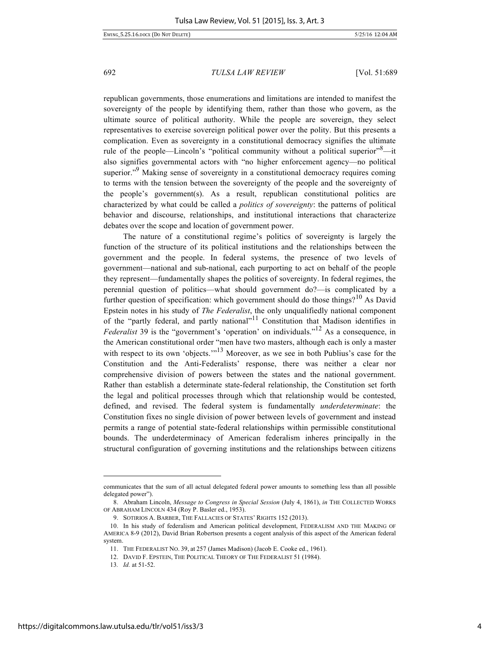republican governments, those enumerations and limitations are intended to manifest the sovereignty of the people by identifying them, rather than those who govern, as the ultimate source of political authority. While the people are sovereign, they select representatives to exercise sovereign political power over the polity. But this presents a complication. Even as sovereignty in a constitutional democracy signifies the ultimate rule of the people—Lincoln's "political community without a political superior"<sup>8</sup>—it also signifies governmental actors with "no higher enforcement agency—no political superior."<sup>9</sup> Making sense of sovereignty in a constitutional democracy requires coming to terms with the tension between the sovereignty of the people and the sovereignty of the people's government(s). As a result, republican constitutional politics are characterized by what could be called a *politics of sovereignty*: the patterns of political behavior and discourse, relationships, and institutional interactions that characterize debates over the scope and location of government power.

The nature of a constitutional regime's politics of sovereignty is largely the function of the structure of its political institutions and the relationships between the government and the people. In federal systems, the presence of two levels of government—national and sub-national, each purporting to act on behalf of the people they represent—fundamentally shapes the politics of sovereignty. In federal regimes, the perennial question of politics—what should government do?—is complicated by a further question of specification: which government should do those things?<sup>10</sup> As David Epstein notes in his study of *The Federalist*, the only unqualifiedly national component of the "partly federal, and partly national"<sup>11</sup> Constitution that Madison identifies in *Federalist* 39 is the "government's 'operation' on individuals."<sup>12</sup> As a consequence, in the American constitutional order "men have two masters, although each is only a master with respect to its own 'objects."<sup>13</sup> Moreover, as we see in both Publius's case for the Constitution and the Anti-Federalists' response, there was neither a clear nor comprehensive division of powers between the states and the national government. Rather than establish a determinate state-federal relationship, the Constitution set forth the legal and political processes through which that relationship would be contested, defined, and revised. The federal system is fundamentally *underdeterminate*: the Constitution fixes no single division of power between levels of government and instead permits a range of potential state-federal relationships within permissible constitutional bounds. The underdeterminacy of American federalism inheres principally in the structural configuration of governing institutions and the relationships between citizens

communicates that the sum of all actual delegated federal power amounts to something less than all possible delegated power").

<sup>8.</sup> Abraham Lincoln, *Message to Congress in Special Session* (July 4, 1861), *in* THE COLLECTED WORKS OF ABRAHAM LINCOLN 434 (Roy P. Basler ed., 1953).

<sup>9.</sup> SOTIRIOS A. BARBER, THE FALLACIES OF STATES' RIGHTS 152 (2013).

<sup>10.</sup> In his study of federalism and American political development, FEDERALISM AND THE MAKING OF AMERICA 8-9 (2012), David Brian Robertson presents a cogent analysis of this aspect of the American federal system.

<sup>11.</sup> THE FEDERALIST NO. 39, at 257 (James Madison) (Jacob E. Cooke ed., 1961).

<sup>12.</sup> DAVID F. EPSTEIN, THE POLITICAL THEORY OF THE FEDERALIST 51 (1984).

<sup>13</sup>*. Id.* at 51-52.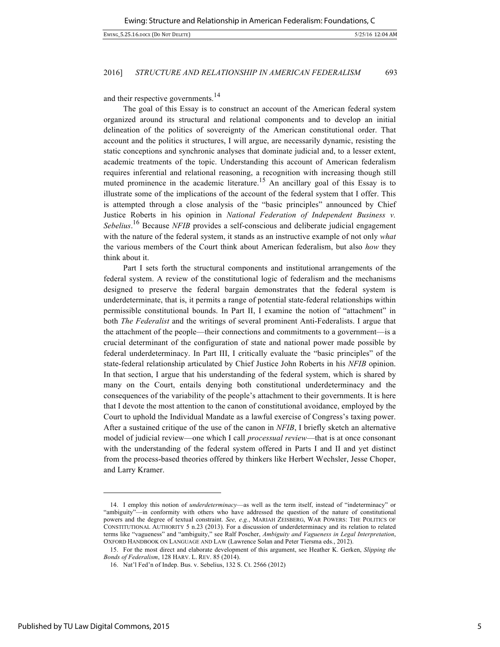and their respective governments.<sup>14</sup>

The goal of this Essay is to construct an account of the American federal system organized around its structural and relational components and to develop an initial delineation of the politics of sovereignty of the American constitutional order. That account and the politics it structures, I will argue, are necessarily dynamic, resisting the static conceptions and synchronic analyses that dominate judicial and, to a lesser extent, academic treatments of the topic. Understanding this account of American federalism requires inferential and relational reasoning, a recognition with increasing though still muted prominence in the academic literature.<sup>15</sup> An ancillary goal of this Essay is to illustrate some of the implications of the account of the federal system that I offer. This is attempted through a close analysis of the "basic principles" announced by Chief Justice Roberts in his opinion in *National Federation of Independent Business v. Sebelius*. <sup>16</sup> Because *NFIB* provides a self-conscious and deliberate judicial engagement with the nature of the federal system, it stands as an instructive example of not only *what*  the various members of the Court think about American federalism, but also *how* they think about it.

Part I sets forth the structural components and institutional arrangements of the federal system. A review of the constitutional logic of federalism and the mechanisms designed to preserve the federal bargain demonstrates that the federal system is underdeterminate, that is, it permits a range of potential state-federal relationships within permissible constitutional bounds. In Part II, I examine the notion of "attachment" in both *The Federalist* and the writings of several prominent Anti-Federalists. I argue that the attachment of the people—their connections and commitments to a government—is a crucial determinant of the configuration of state and national power made possible by federal underdeterminacy. In Part III, I critically evaluate the "basic principles" of the state-federal relationship articulated by Chief Justice John Roberts in his *NFIB* opinion. In that section, I argue that his understanding of the federal system, which is shared by many on the Court, entails denying both constitutional underdeterminacy and the consequences of the variability of the people's attachment to their governments. It is here that I devote the most attention to the canon of constitutional avoidance, employed by the Court to uphold the Individual Mandate as a lawful exercise of Congress's taxing power. After a sustained critique of the use of the canon in *NFIB*, I briefly sketch an alternative model of judicial review—one which I call *processual review*—that is at once consonant with the understanding of the federal system offered in Parts I and II and yet distinct from the process-based theories offered by thinkers like Herbert Wechsler, Jesse Choper, and Larry Kramer.

<sup>14.</sup> I employ this notion of *underdeterminacy*—as well as the term itself, instead of "indeterminacy" or "ambiguity"—in conformity with others who have addressed the question of the nature of constitutional powers and the degree of textual constraint. *See, e.g.*, MARIAH ZEISBERG, WAR POWERS: THE POLITICS OF CONSTITUTIONAL AUTHORITY 5 n.23 (2013). For a discussion of underdeterminacy and its relation to related terms like "vagueness" and "ambiguity," see Ralf Poscher, *Ambiguity and Vagueness in Legal Interpretation*, OXFORD HANDBOOK ON LANGUAGE AND LAW (Lawrence Solan and Peter Tiersma eds., 2012).

<sup>15.</sup> For the most direct and elaborate development of this argument, see Heather K. Gerken, *Slipping the Bonds of Federalism*, 128 HARV. L. REV. 85 (2014).

<sup>16.</sup> Nat'l Fed'n of Indep. Bus. v. Sebelius, 132 S. Ct. 2566 (2012)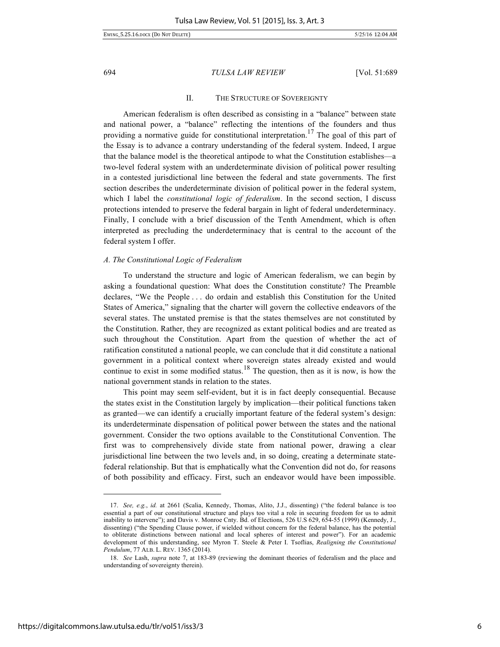# II. THE STRUCTURE OF SOVEREIGNTY

American federalism is often described as consisting in a "balance" between state and national power, a "balance" reflecting the intentions of the founders and thus providing a normative guide for constitutional interpretation.<sup>17</sup> The goal of this part of the Essay is to advance a contrary understanding of the federal system. Indeed, I argue that the balance model is the theoretical antipode to what the Constitution establishes—a two-level federal system with an underdeterminate division of political power resulting in a contested jurisdictional line between the federal and state governments. The first section describes the underdeterminate division of political power in the federal system, which I label the *constitutional logic of federalism*. In the second section, I discuss protections intended to preserve the federal bargain in light of federal underdeterminacy. Finally, I conclude with a brief discussion of the Tenth Amendment, which is often interpreted as precluding the underdeterminacy that is central to the account of the federal system I offer.

# *A. The Constitutional Logic of Federalism*

To understand the structure and logic of American federalism, we can begin by asking a foundational question: What does the Constitution constitute? The Preamble declares, "We the People . . . do ordain and establish this Constitution for the United States of America," signaling that the charter will govern the collective endeavors of the several states. The unstated premise is that the states themselves are not constituted by the Constitution. Rather, they are recognized as extant political bodies and are treated as such throughout the Constitution. Apart from the question of whether the act of ratification constituted a national people, we can conclude that it did constitute a national government in a political context where sovereign states already existed and would continue to exist in some modified status.<sup>18</sup> The question, then as it is now, is how the national government stands in relation to the states.

This point may seem self-evident, but it is in fact deeply consequential. Because the states exist in the Constitution largely by implication—their political functions taken as granted—we can identify a crucially important feature of the federal system's design: its underdeterminate dispensation of political power between the states and the national government. Consider the two options available to the Constitutional Convention. The first was to comprehensively divide state from national power, drawing a clear jurisdictional line between the two levels and, in so doing, creating a determinate statefederal relationship. But that is emphatically what the Convention did not do, for reasons of both possibility and efficacy. First, such an endeavor would have been impossible.

<sup>17.</sup> *See, e.g.*, *id.* at 2661 (Scalia, Kennedy, Thomas, Alito, J.J., dissenting) ("the federal balance is too essential a part of our constitutional structure and plays too vital a role in securing freedom for us to admit inability to intervene"); and Davis v. Monroe Cnty. Bd. of Elections, 526 U.S 629, 654-55 (1999) (Kennedy, J., dissenting) ("the Spending Clause power, if wielded without concern for the federal balance, has the potential to obliterate distinctions between national and local spheres of interest and power"). For an academic development of this understanding, see Myron T. Steele & Peter I. Tsoflias, *Realigning the Constitutional Pendulum*, 77 ALB. L. REV. 1365 (2014).

<sup>18.</sup> *See* Lash, *supra* note 7, at 183-89 (reviewing the dominant theories of federalism and the place and understanding of sovereignty therein).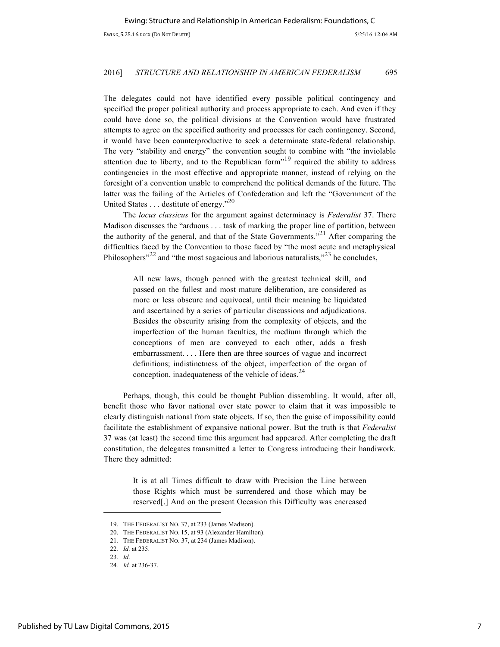The delegates could not have identified every possible political contingency and specified the proper political authority and process appropriate to each. And even if they could have done so, the political divisions at the Convention would have frustrated attempts to agree on the specified authority and processes for each contingency. Second, it would have been counterproductive to seek a determinate state-federal relationship. The very "stability and energy" the convention sought to combine with "the inviolable attention due to liberty, and to the Republican form<sup> $19$ </sup> required the ability to address contingencies in the most effective and appropriate manner, instead of relying on the foresight of a convention unable to comprehend the political demands of the future. The latter was the failing of the Articles of Confederation and left the "Government of the United States . . . destitute of energy."<sup>20</sup>

The *locus classicus* for the argument against determinacy is *Federalist* 37. There Madison discusses the "arduous . . . task of marking the proper line of partition, between the authority of the general, and that of the State Governments."<sup>21</sup> After comparing the difficulties faced by the Convention to those faced by "the most acute and metaphysical Philosophers<sup>"22</sup> and "the most sagacious and laborious naturalists,"<sup>23</sup> he concludes,

> All new laws, though penned with the greatest technical skill, and passed on the fullest and most mature deliberation, are considered as more or less obscure and equivocal, until their meaning be liquidated and ascertained by a series of particular discussions and adjudications. Besides the obscurity arising from the complexity of objects, and the imperfection of the human faculties, the medium through which the conceptions of men are conveyed to each other, adds a fresh embarrassment. . . . Here then are three sources of vague and incorrect definitions; indistinctness of the object, imperfection of the organ of conception, inadequateness of the vehicle of ideas. $^{24}$

Perhaps, though, this could be thought Publian dissembling. It would, after all, benefit those who favor national over state power to claim that it was impossible to clearly distinguish national from state objects. If so, then the guise of impossibility could facilitate the establishment of expansive national power. But the truth is that *Federalist*  37 was (at least) the second time this argument had appeared. After completing the draft constitution, the delegates transmitted a letter to Congress introducing their handiwork. There they admitted:

It is at all Times difficult to draw with Precision the Line between those Rights which must be surrendered and those which may be reserved[.] And on the present Occasion this Difficulty was encreased

<sup>19.</sup> THE FEDERALIST NO. 37, at 233 (James Madison).

<sup>20.</sup> THE FEDERALIST NO. 15, at 93 (Alexander Hamilton).

<sup>21</sup>*.* THE FEDERALIST NO. 37, at 234 (James Madison).

<sup>22</sup>*. Id.* at 235.

<sup>23</sup>*. Id.*

<sup>24</sup>*. Id.* at 236-37.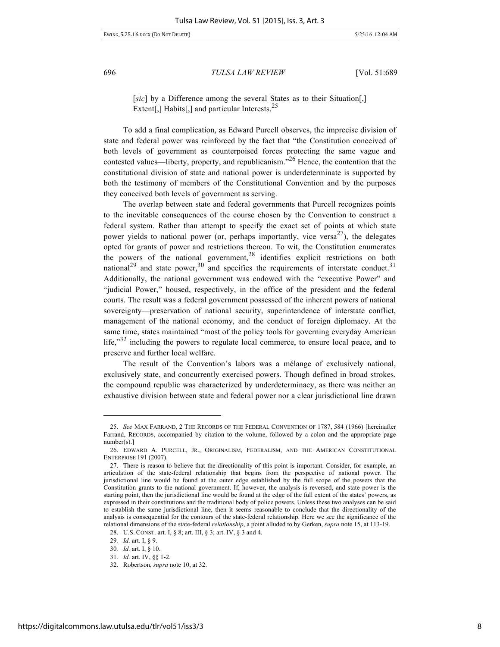EWING\_5.25.16.DOCX (DO NOT DELETE) 5/25/16 12:04 AM

696 *TULSA LAW REVIEW* [Vol. 51:689

[sic] by a Difference among the several States as to their Situation[,] Extent[,] Habits[,] and particular Interests. $25$ 

To add a final complication, as Edward Purcell observes, the imprecise division of state and federal power was reinforced by the fact that "the Constitution conceived of both levels of government as counterpoised forces protecting the same vague and contested values—liberty, property, and republicanism.<sup> $26$ </sup> Hence, the contention that the constitutional division of state and national power is underdeterminate is supported by both the testimony of members of the Constitutional Convention and by the purposes they conceived both levels of government as serving.

The overlap between state and federal governments that Purcell recognizes points to the inevitable consequences of the course chosen by the Convention to construct a federal system. Rather than attempt to specify the exact set of points at which state power yields to national power (or, perhaps importantly, vice versa<sup>27</sup>), the delegates opted for grants of power and restrictions thereon. To wit, the Constitution enumerates the powers of the national government,  $28$  identifies explicit restrictions on both national<sup>29</sup> and state power,<sup>30</sup> and specifies the requirements of interstate conduct.<sup>31</sup> Additionally, the national government was endowed with the "executive Power" and "judicial Power," housed, respectively, in the office of the president and the federal courts. The result was a federal government possessed of the inherent powers of national sovereignty—preservation of national security, superintendence of interstate conflict, management of the national economy, and the conduct of foreign diplomacy. At the same time, states maintained "most of the policy tools for governing everyday American life,"<sup>32</sup> including the powers to regulate local commerce, to ensure local peace, and to preserve and further local welfare.

The result of the Convention's labors was a mélange of exclusively national, exclusively state, and concurrently exercised powers. Though defined in broad strokes, the compound republic was characterized by underdeterminacy, as there was neither an exhaustive division between state and federal power nor a clear jurisdictional line drawn

<sup>25.</sup> *See* MAX FARRAND, 2 THE RECORDS OF THE FEDERAL CONVENTION OF 1787, 584 (1966) [hereinafter Farrand, RECORDS, accompanied by citation to the volume, followed by a colon and the appropriate page number(s).]

<sup>26.</sup> EDWARD A. PURCELL, JR., ORIGINALISM, FEDERALISM, AND THE AMERICAN CONSTITUTIONAL ENTERPRISE 191 (2007).

<sup>27.</sup> There is reason to believe that the directionality of this point is important. Consider, for example, an articulation of the state-federal relationship that begins from the perspective of national power. The jurisdictional line would be found at the outer edge established by the full scope of the powers that the Constitution grants to the national government. If, however, the analysis is reversed, and state power is the starting point, then the jurisdictional line would be found at the edge of the full extent of the states' powers, as expressed in their constitutions and the traditional body of police powers. Unless these two analyses can be said to establish the same jurisdictional line, then it seems reasonable to conclude that the directionality of the analysis is consequential for the contours of the state-federal relationship. Here we see the significance of the relational dimensions of the state-federal *relationship*, a point alluded to by Gerken, *supra* note 15, at 113-19.

<sup>28.</sup> U.S. CONST. art. I, § 8; art. III, § 3; art. IV, § 3 and 4.

<sup>29</sup>*. Id.* art. I, § 9.

<sup>30</sup>*. Id.* art. I, § 10.

<sup>31</sup>*. Id.* art. IV, §§ 1-2.

<sup>32.</sup> Robertson, *supra* note 10, at 32.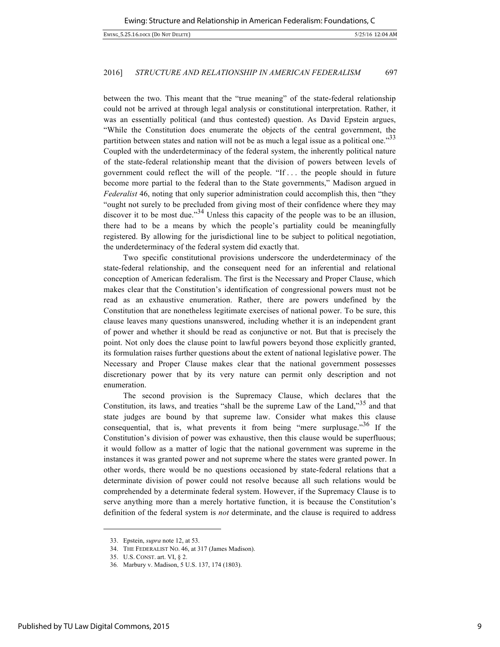between the two. This meant that the "true meaning" of the state-federal relationship could not be arrived at through legal analysis or constitutional interpretation. Rather, it was an essentially political (and thus contested) question. As David Epstein argues, "While the Constitution does enumerate the objects of the central government, the partition between states and nation will not be as much a legal issue as a political one."<sup>33</sup> Coupled with the underdeterminacy of the federal system, the inherently political nature of the state-federal relationship meant that the division of powers between levels of government could reflect the will of the people. "If . . . the people should in future become more partial to the federal than to the State governments," Madison argued in *Federalist* 46, noting that only superior administration could accomplish this, then "they "ought not surely to be precluded from giving most of their confidence where they may discover it to be most due."<sup>34</sup> Unless this capacity of the people was to be an illusion, there had to be a means by which the people's partiality could be meaningfully registered. By allowing for the jurisdictional line to be subject to political negotiation, the underdeterminacy of the federal system did exactly that.

Two specific constitutional provisions underscore the underdeterminacy of the state-federal relationship, and the consequent need for an inferential and relational conception of American federalism. The first is the Necessary and Proper Clause, which makes clear that the Constitution's identification of congressional powers must not be read as an exhaustive enumeration. Rather, there are powers undefined by the Constitution that are nonetheless legitimate exercises of national power. To be sure, this clause leaves many questions unanswered, including whether it is an independent grant of power and whether it should be read as conjunctive or not. But that is precisely the point. Not only does the clause point to lawful powers beyond those explicitly granted, its formulation raises further questions about the extent of national legislative power. The Necessary and Proper Clause makes clear that the national government possesses discretionary power that by its very nature can permit only description and not enumeration.

The second provision is the Supremacy Clause, which declares that the Constitution, its laws, and treaties "shall be the supreme Law of the Land,"<sup>35</sup> and that state judges are bound by that supreme law. Consider what makes this clause consequential, that is, what prevents it from being "mere surplusage."<sup>36</sup> If the Constitution's division of power was exhaustive, then this clause would be superfluous; it would follow as a matter of logic that the national government was supreme in the instances it was granted power and not supreme where the states were granted power. In other words, there would be no questions occasioned by state-federal relations that a determinate division of power could not resolve because all such relations would be comprehended by a determinate federal system. However, if the Supremacy Clause is to serve anything more than a merely hortative function, it is because the Constitution's definition of the federal system is *not* determinate, and the clause is required to address

<sup>33.</sup> Epstein, *supra* note 12, at 53.

<sup>34.</sup> THE FEDERALIST NO. 46, at 317 (James Madison).

<sup>35.</sup> U.S. CONST. art. VI, § 2.

<sup>36</sup>*.* Marbury v. Madison, 5 U.S. 137, 174 (1803).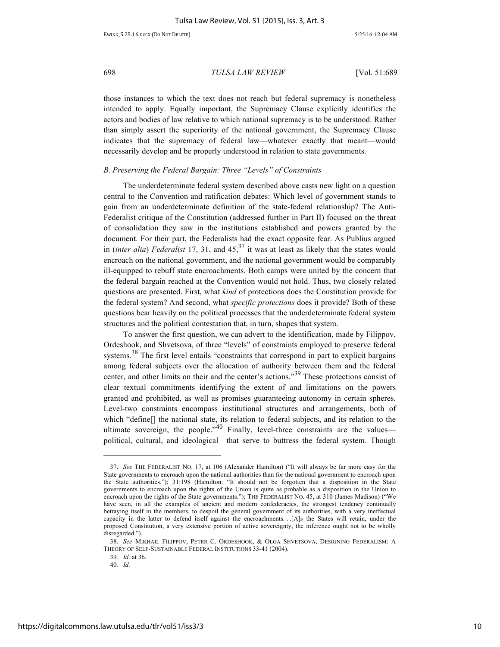EWING\_5.25.16.DOCX (DO NOT DELETE) 5/25/16 12:04 AM

698 *TULSA LAW REVIEW* [Vol. 51:689

those instances to which the text does not reach but federal supremacy is nonetheless intended to apply. Equally important, the Supremacy Clause explicitly identifies the actors and bodies of law relative to which national supremacy is to be understood. Rather than simply assert the superiority of the national government, the Supremacy Clause indicates that the supremacy of federal law—whatever exactly that meant—would necessarily develop and be properly understood in relation to state governments.

# *B. Preserving the Federal Bargain: Three "Levels" of Constraints*

The underdeterminate federal system described above casts new light on a question central to the Convention and ratification debates: Which level of government stands to gain from an underdeterminate definition of the state-federal relationship? The Anti-Federalist critique of the Constitution (addressed further in Part II) focused on the threat of consolidation they saw in the institutions established and powers granted by the document. For their part, the Federalists had the exact opposite fear. As Publius argued in (*inter alia*) *Federalist* 17, 31, and  $45<sup>37</sup>$  it was at least as likely that the states would encroach on the national government, and the national government would be comparably ill-equipped to rebuff state encroachments. Both camps were united by the concern that the federal bargain reached at the Convention would not hold. Thus, two closely related questions are presented. First, what *kind* of protections does the Constitution provide for the federal system? And second, what *specific protections* does it provide? Both of these questions bear heavily on the political processes that the underdeterminate federal system structures and the political contestation that, in turn, shapes that system.

To answer the first question, we can advert to the identification, made by Filippov, Ordeshook, and Shvetsova, of three "levels" of constraints employed to preserve federal systems.<sup>38</sup> The first level entails "constraints that correspond in part to explicit bargains among federal subjects over the allocation of authority between them and the federal center, and other limits on their and the center's actions."<sup>39</sup> These protections consist of clear textual commitments identifying the extent of and limitations on the powers granted and prohibited, as well as promises guaranteeing autonomy in certain spheres. Level-two constraints encompass institutional structures and arrangements, both of which "define[] the national state, its relation to federal subjects, and its relation to the ultimate sovereign, the people.<sup> $n40$ </sup> Finally, level-three constraints are the values political, cultural, and ideological—that serve to buttress the federal system. Though

39*. Id.* at 36.

40*. Id.*

<sup>37.</sup> *See* THE FEDERALIST NO. 17, at 106 (Alexander Hamilton) ("It will always be far more easy for the State governments to encroach upon the national authorities than for the national government to encroach upon the State authorities."); 31:198 (Hamilton: "It should not be forgotten that a disposition in the State governments to encroach upon the rights of the Union is quite as probable as a disposition in the Union to encroach upon the rights of the State governments."); THE FEDERALIST NO. 45, at 310 (James Madison) ("We have seen, in all the examples of ancient and modern confederacies, the strongest tendency continually betraying itself in the members, to despoil the general government of its authorities, with a very ineffectual capacity in the latter to defend itself against the encroachments. . .[A]s the States will retain, under the proposed Constitution, a very extensive portion of active sovereignty, the inference ought not to be wholly disregarded.").

<sup>38.</sup> *See* MIKHAIL FILIPPOV, PETER C. ORDESHOOK, & OLGA SHVETSOVA, DESIGNING FEDERALISM: A THEORY OF SELF-SUSTAINABLE FEDERAL INSTITUTIONS 33-41 (2004).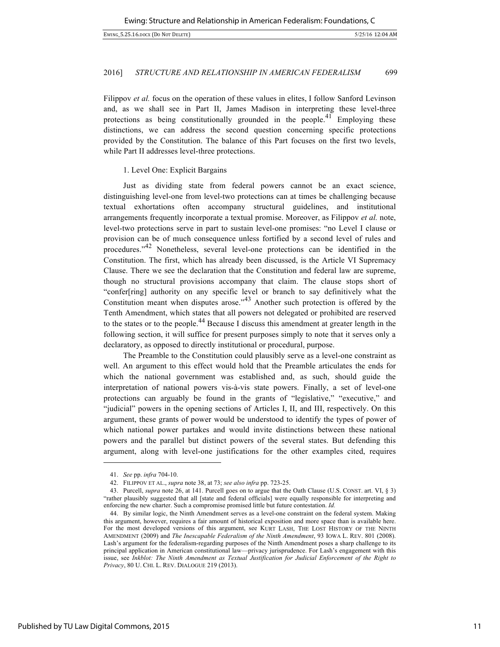Filippov *et al.* focus on the operation of these values in elites, I follow Sanford Levinson and, as we shall see in Part II, James Madison in interpreting these level-three protections as being constitutionally grounded in the people.<sup>41</sup> Employing these distinctions, we can address the second question concerning specific protections provided by the Constitution. The balance of this Part focuses on the first two levels, while Part II addresses level-three protections.

# 1. Level One: Explicit Bargains

Just as dividing state from federal powers cannot be an exact science, distinguishing level-one from level-two protections can at times be challenging because textual exhortations often accompany structural guidelines, and institutional arrangements frequently incorporate a textual promise. Moreover, as Filippov *et al.* note, level-two protections serve in part to sustain level-one promises: "no Level I clause or provision can be of much consequence unless fortified by a second level of rules and procedures."<sup>42</sup> Nonetheless, several level-one protections can be identified in the Constitution. The first, which has already been discussed, is the Article VI Supremacy Clause. There we see the declaration that the Constitution and federal law are supreme, though no structural provisions accompany that claim. The clause stops short of "confer[ring] authority on any specific level or branch to say definitively what the Constitution meant when disputes arose."<sup>43</sup> Another such protection is offered by the Tenth Amendment, which states that all powers not delegated or prohibited are reserved to the states or to the people.<sup>44</sup> Because I discuss this amendment at greater length in the following section, it will suffice for present purposes simply to note that it serves only a declaratory, as opposed to directly institutional or procedural, purpose.

The Preamble to the Constitution could plausibly serve as a level-one constraint as well. An argument to this effect would hold that the Preamble articulates the ends for which the national government was established and, as such, should guide the interpretation of national powers vis-à-vis state powers. Finally, a set of level-one protections can arguably be found in the grants of "legislative," "executive," and "judicial" powers in the opening sections of Articles I, II, and III, respectively. On this argument, these grants of power would be understood to identify the types of power of which national power partakes and would invite distinctions between these national powers and the parallel but distinct powers of the several states. But defending this argument, along with level-one justifications for the other examples cited, requires

<sup>41.</sup> *See* pp. *infra* 704-10.

<sup>42.</sup> FILIPPOV ET AL., *supra* note 38, at 73; *see also infra* pp. 723-25.

<sup>43.</sup> Purcell, *supra* note 26, at 141. Purcell goes on to argue that the Oath Clause (U.S. CONST. art. VI, § 3) "rather plausibly suggested that all [state and federal officials] were equally responsible for interpreting and enforcing the new charter. Such a compromise promised little but future contestation. *Id.*

<sup>44.</sup> By similar logic, the Ninth Amendment serves as a level-one constraint on the federal system. Making this argument, however, requires a fair amount of historical exposition and more space than is available here. For the most developed versions of this argument, see KURT LASH, THE LOST HISTORY OF THE NINTH AMENDMENT (2009) and *The Inescapable Federalism of the Ninth Amendment*, 93 IOWA L. REV. 801 (2008). Lash's argument for the federalism-regarding purposes of the Ninth Amendment poses a sharp challenge to its principal application in American constitutional law—privacy jurisprudence. For Lash's engagement with this issue, see *Inkblot: The Ninth Amendment as Textual Justification for Judicial Enforcement of the Right to Privacy*, 80 U. CHI. L. REV. DIALOGUE 219 (2013).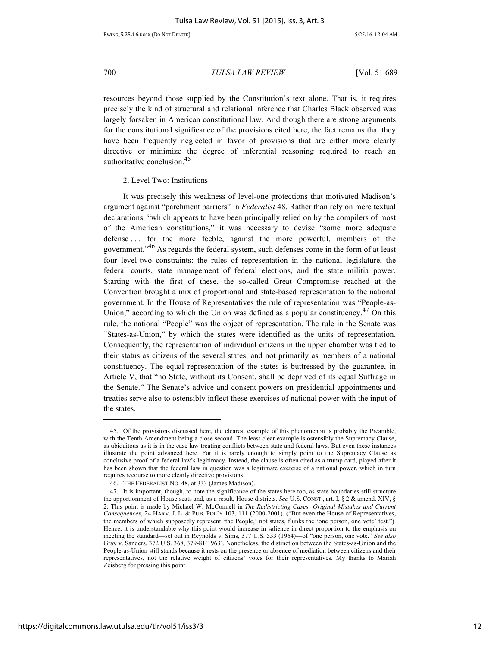EWING\_5.25.16.DOCX (DO NOT DELETE) 5/25/16 12:04 AM

700 *TULSA LAW REVIEW* [Vol. 51:689

resources beyond those supplied by the Constitution's text alone. That is, it requires precisely the kind of structural and relational inference that Charles Black observed was largely forsaken in American constitutional law. And though there are strong arguments for the constitutional significance of the provisions cited here, the fact remains that they have been frequently neglected in favor of provisions that are either more clearly directive or minimize the degree of inferential reasoning required to reach an authoritative conclusion.<sup>45</sup>

2. Level Two: Institutions

It was precisely this weakness of level-one protections that motivated Madison's argument against "parchment barriers" in *Federalist* 48. Rather than rely on mere textual declarations, "which appears to have been principally relied on by the compilers of most of the American constitutions," it was necessary to devise "some more adequate defense . . . for the more feeble, against the more powerful, members of the government."<sup>46</sup> As regards the federal system, such defenses come in the form of at least four level-two constraints: the rules of representation in the national legislature, the federal courts, state management of federal elections, and the state militia power. Starting with the first of these, the so-called Great Compromise reached at the Convention brought a mix of proportional and state-based representation to the national government. In the House of Representatives the rule of representation was "People-as-Union," according to which the Union was defined as a popular constituency.<sup>47</sup> On this rule, the national "People" was the object of representation. The rule in the Senate was "States-as-Union," by which the states were identified as the units of representation. Consequently, the representation of individual citizens in the upper chamber was tied to their status as citizens of the several states, and not primarily as members of a national constituency. The equal representation of the states is buttressed by the guarantee, in Article V, that "no State, without its Consent, shall be deprived of its equal Suffrage in the Senate." The Senate's advice and consent powers on presidential appointments and treaties serve also to ostensibly inflect these exercises of national power with the input of the states.

<sup>45.</sup> Of the provisions discussed here, the clearest example of this phenomenon is probably the Preamble, with the Tenth Amendment being a close second. The least clear example is ostensibly the Supremacy Clause, as ubiquitous as it is in the case law treating conflicts between state and federal laws. But even these instances illustrate the point advanced here. For it is rarely enough to simply point to the Supremacy Clause as conclusive proof of a federal law's legitimacy. Instead, the clause is often cited as a trump card, played after it has been shown that the federal law in question was a legitimate exercise of a national power, which in turn requires recourse to more clearly directive provisions.

<sup>46.</sup> THE FEDERALIST NO. 48, at 333 (James Madison).

<sup>47.</sup> It is important, though, to note the significance of the states here too, as state boundaries still structure the apportionment of House seats and, as a result, House districts. *See* U.S. CONST., art. I, § 2 & amend. XIV, § 2. This point is made by Michael W. McConnell in *The Redistricting Cases: Original Mistakes and Current Consequences*, 24 HARV. J. L. & PUB. POL'Y 103, 111 (2000-2001). ("But even the House of Representatives, the members of which supposedly represent 'the People,' not states, flunks the 'one person, one vote' test."). Hence, it is understandable why this point would increase in salience in direct proportion to the emphasis on meeting the standard—set out in Reynolds v. Sims, 377 U.S. 533 (1964)—of "one person, one vote." *See also* Gray v. Sanders, 372 U.S. 368, 379-81(1963). Nonetheless, the distinction between the States-as-Union and the People-as-Union still stands because it rests on the presence or absence of mediation between citizens and their representatives, not the relative weight of citizens' votes for their representatives. My thanks to Mariah Zeisberg for pressing this point.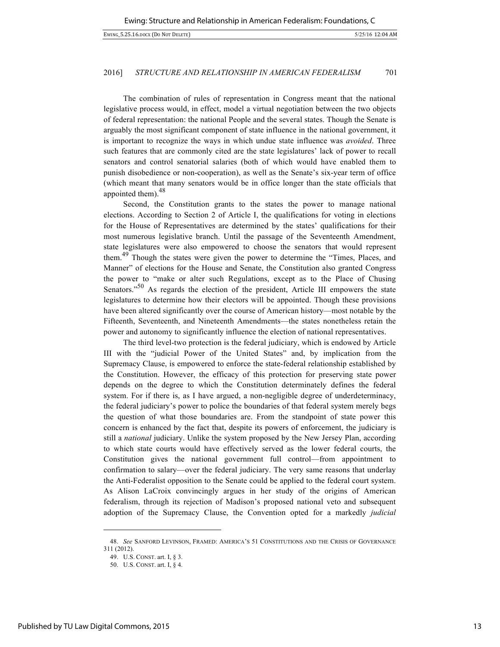The combination of rules of representation in Congress meant that the national legislative process would, in effect, model a virtual negotiation between the two objects of federal representation: the national People and the several states. Though the Senate is arguably the most significant component of state influence in the national government, it is important to recognize the ways in which undue state influence was *avoided*. Three such features that are commonly cited are the state legislatures' lack of power to recall senators and control senatorial salaries (both of which would have enabled them to punish disobedience or non-cooperation), as well as the Senate's six-year term of office (which meant that many senators would be in office longer than the state officials that appointed them). $48$ 

Second, the Constitution grants to the states the power to manage national elections. According to Section 2 of Article I, the qualifications for voting in elections for the House of Representatives are determined by the states' qualifications for their most numerous legislative branch. Until the passage of the Seventeenth Amendment, state legislatures were also empowered to choose the senators that would represent them.<sup>49</sup> Though the states were given the power to determine the "Times, Places, and Manner" of elections for the House and Senate, the Constitution also granted Congress the power to "make or alter such Regulations, except as to the Place of Chusing Senators. $50^\circ$  As regards the election of the president, Article III empowers the state legislatures to determine how their electors will be appointed. Though these provisions have been altered significantly over the course of American history—most notable by the Fifteenth, Seventeenth, and Nineteenth Amendments—the states nonetheless retain the power and autonomy to significantly influence the election of national representatives.

The third level-two protection is the federal judiciary, which is endowed by Article III with the "judicial Power of the United States" and, by implication from the Supremacy Clause, is empowered to enforce the state-federal relationship established by the Constitution. However, the efficacy of this protection for preserving state power depends on the degree to which the Constitution determinately defines the federal system. For if there is, as I have argued, a non-negligible degree of underdeterminacy, the federal judiciary's power to police the boundaries of that federal system merely begs the question of what those boundaries are. From the standpoint of state power this concern is enhanced by the fact that, despite its powers of enforcement, the judiciary is still a *national* judiciary. Unlike the system proposed by the New Jersey Plan, according to which state courts would have effectively served as the lower federal courts, the Constitution gives the national government full control—from appointment to confirmation to salary—over the federal judiciary. The very same reasons that underlay the Anti-Federalist opposition to the Senate could be applied to the federal court system. As Alison LaCroix convincingly argues in her study of the origins of American federalism, through its rejection of Madison's proposed national veto and subsequent adoption of the Supremacy Clause, the Convention opted for a markedly *judicial*

<sup>48.</sup> *See* SANFORD LEVINSON, FRAMED: AMERICA'S 51 CONSTITUTIONS AND THE CRISIS OF GOVERNANCE 311 (2012).

<sup>49.</sup> U.S. CONST. art. I, § 3.

<sup>50.</sup> U.S. CONST. art. I, § 4.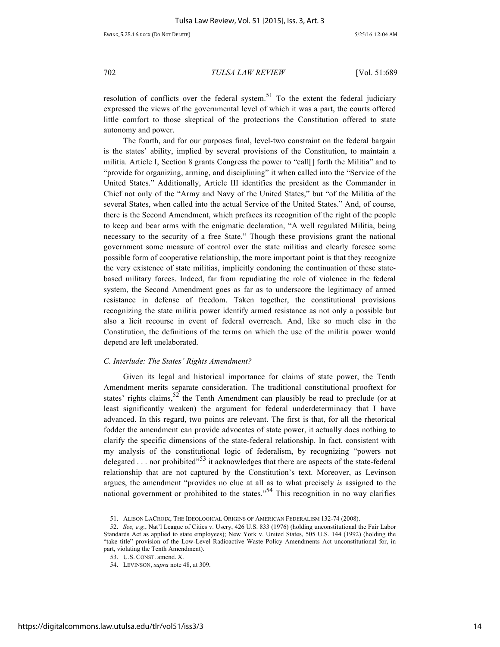EWING\_5.25.16.DOCX (DO NOT DELETE) 5/25/16 12:04 AM

702 *TULSA LAW REVIEW* [Vol. 51:689

resolution of conflicts over the federal system.<sup>51</sup> To the extent the federal judiciary expressed the views of the governmental level of which it was a part, the courts offered little comfort to those skeptical of the protections the Constitution offered to state autonomy and power.

The fourth, and for our purposes final, level-two constraint on the federal bargain is the states' ability, implied by several provisions of the Constitution, to maintain a militia. Article I, Section 8 grants Congress the power to "call[] forth the Militia" and to "provide for organizing, arming, and disciplining" it when called into the "Service of the United States." Additionally, Article III identifies the president as the Commander in Chief not only of the "Army and Navy of the United States," but "of the Militia of the several States, when called into the actual Service of the United States." And, of course, there is the Second Amendment, which prefaces its recognition of the right of the people to keep and bear arms with the enigmatic declaration, "A well regulated Militia, being necessary to the security of a free State." Though these provisions grant the national government some measure of control over the state militias and clearly foresee some possible form of cooperative relationship, the more important point is that they recognize the very existence of state militias, implicitly condoning the continuation of these statebased military forces. Indeed, far from repudiating the role of violence in the federal system, the Second Amendment goes as far as to underscore the legitimacy of armed resistance in defense of freedom. Taken together, the constitutional provisions recognizing the state militia power identify armed resistance as not only a possible but also a licit recourse in event of federal overreach. And, like so much else in the Constitution, the definitions of the terms on which the use of the militia power would depend are left unelaborated.

# *C. Interlude: The States' Rights Amendment?*

Given its legal and historical importance for claims of state power, the Tenth Amendment merits separate consideration. The traditional constitutional prooftext for states' rights claims,  $52$  the Tenth Amendment can plausibly be read to preclude (or at least significantly weaken) the argument for federal underdeterminacy that I have advanced. In this regard, two points are relevant. The first is that, for all the rhetorical fodder the amendment can provide advocates of state power, it actually does nothing to clarify the specific dimensions of the state-federal relationship. In fact, consistent with my analysis of the constitutional logic of federalism, by recognizing "powers not delegated . . . nor prohibited"<sup>53</sup> it acknowledges that there are aspects of the state-federal relationship that are not captured by the Constitution's text. Moreover, as Levinson argues, the amendment "provides no clue at all as to what precisely *is* assigned to the national government or prohibited to the states."<sup>54</sup> This recognition in no way clarifies

<sup>51.</sup> ALISON LACROIX, THE IDEOLOGICAL ORIGINS OF AMERICAN FEDERALISM 132-74 (2008).

<sup>52.</sup> *See, e.g.*, Nat'l League of Cities v. Usery, 426 U.S. 833 (1976) (holding unconstitutional the Fair Labor Standards Act as applied to state employees); New York v. United States, 505 U.S. 144 (1992) (holding the "take title" provision of the Low-Level Radioactive Waste Policy Amendments Act unconstitutional for, in part, violating the Tenth Amendment).

<sup>53.</sup> U.S. CONST. amend. X.

<sup>54.</sup> LEVINSON, *supra* note 48, at 309.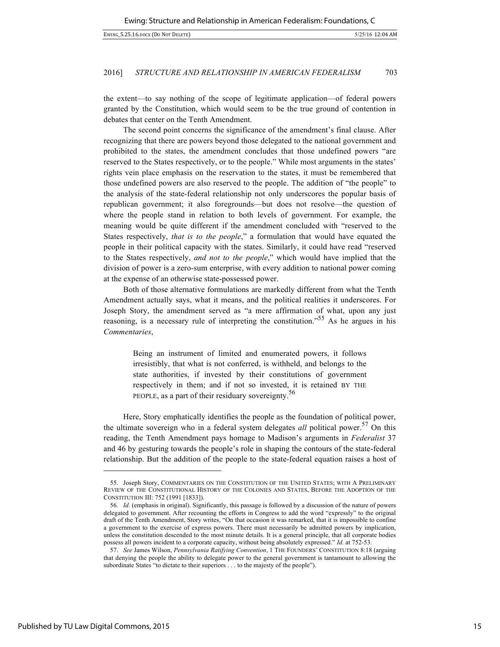the extent—to say nothing of the scope of legitimate application—of federal powers granted by the Constitution, which would seem to be the true ground of contention in debates that center on the Tenth Amendment.

The second point concerns the significance of the amendment's final clause. After recognizing that there are powers beyond those delegated to the national government and prohibited to the states, the amendment concludes that those undefined powers "are reserved to the States respectively, or to the people." While most arguments in the states' rights vein place emphasis on the reservation to the states, it must be remembered that those undefined powers are also reserved to the people. The addition of "the people" to the analysis of the state-federal relationship not only underscores the popular basis of republican government; it also foregrounds—but does not resolve—the question of where the people stand in relation to both levels of government. For example, the meaning would be quite different if the amendment concluded with "reserved to the States respectively, *that is to the people*," a formulation that would have equated the people in their political capacity with the states. Similarly, it could have read "reserved to the States respectively, *and not to the people*," which would have implied that the division of power is a zero-sum enterprise, with every addition to national power coming at the expense of an otherwise state-possessed power.

Both of those alternative formulations are markedly different from what the Tenth Amendment actually says, what it means, and the political realities it underscores. For Joseph Story, the amendment served as "a mere affirmation of what, upon any just reasoning, is a necessary rule of interpreting the constitution."<sup>55</sup> As he argues in his *Commentaries*,

> Being an instrument of limited and enumerated powers, it follows irresistibly, that what is not conferred, is withheld, and belongs to the state authorities, if invested by their constitutions of government respectively in them; and if not so invested, it is retained BY THE PEOPLE, as a part of their residuary sovereignty.<sup>56</sup>

Here, Story emphatically identifies the people as the foundation of political power, the ultimate sovereign who in a federal system delegates *all* political power.<sup>57</sup> On this reading, the Tenth Amendment pays homage to Madison's arguments in *Federalist* 37 and 46 by gesturing towards the people's role in shaping the contours of the state-federal relationship. But the addition of the people to the state-federal equation raises a host of

<sup>55.</sup> Joseph Story, COMMENTARIES ON THE CONSTITUTION OF THE UNITED STATES; WITH A PRELIMINARY REVIEW OF THE CONSTITUTIONAL HISTORY OF THE COLONIES AND STATES, BEFORE THE ADOPTION OF THE CONSTITUTION III: 752 (1991 [1833]).

<sup>56</sup>*. Id.* (emphasis in original). Significantly, this passage is followed by a discussion of the nature of powers delegated to government. After recounting the efforts in Congress to add the word "expressly" to the original draft of the Tenth Amendment, Story writes, "On that occasion it was remarked, that it is impossible to confine a government to the exercise of express powers. There must necessarily be admitted powers by implication, unless the constitution descended to the most minute details. It is a general principle, that all corporate bodies possess all powers incident to a corporate capacity, without being absolutely expressed." *Id.* at 752-53.

<sup>57.</sup> *See* James Wilson, *Pennsylvania Ratifying Convention*, 1 THE FOUNDERS' CONSTITUTION 8:18 (arguing that denying the people the ability to delegate power to the general government is tantamount to allowing the subordinate States "to dictate to their superiors . . . to the majesty of the people").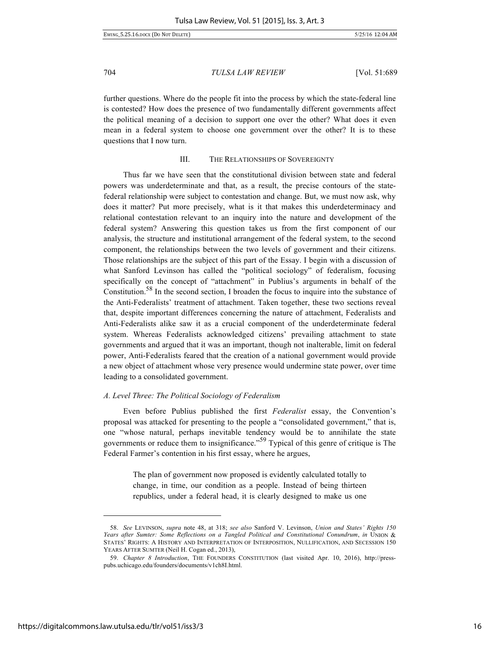EWING\_5.25.16.DOCX (DO NOT DELETE) 5/25/16 12:04 AM

704 *TULSA LAW REVIEW* [Vol. 51:689

further questions. Where do the people fit into the process by which the state-federal line is contested? How does the presence of two fundamentally different governments affect the political meaning of a decision to support one over the other? What does it even mean in a federal system to choose one government over the other? It is to these questions that I now turn.

# III. THE RELATIONSHIPS OF SOVEREIGNTY

Thus far we have seen that the constitutional division between state and federal powers was underdeterminate and that, as a result, the precise contours of the statefederal relationship were subject to contestation and change. But, we must now ask, why does it matter? Put more precisely, what is it that makes this underdeterminacy and relational contestation relevant to an inquiry into the nature and development of the federal system? Answering this question takes us from the first component of our analysis, the structure and institutional arrangement of the federal system, to the second component, the relationships between the two levels of government and their citizens. Those relationships are the subject of this part of the Essay. I begin with a discussion of what Sanford Levinson has called the "political sociology" of federalism, focusing specifically on the concept of "attachment" in Publius's arguments in behalf of the Constitution.<sup>58</sup> In the second section, I broaden the focus to inquire into the substance of the Anti-Federalists' treatment of attachment. Taken together, these two sections reveal that, despite important differences concerning the nature of attachment, Federalists and Anti-Federalists alike saw it as a crucial component of the underdeterminate federal system. Whereas Federalists acknowledged citizens' prevailing attachment to state governments and argued that it was an important, though not inalterable, limit on federal power, Anti-Federalists feared that the creation of a national government would provide a new object of attachment whose very presence would undermine state power, over time leading to a consolidated government.

# *A. Level Three: The Political Sociology of Federalism*

Even before Publius published the first *Federalist* essay, the Convention's proposal was attacked for presenting to the people a "consolidated government," that is, one "whose natural, perhaps inevitable tendency would be to annihilate the state governments or reduce them to insignificance.<sup>59</sup> Typical of this genre of critique is The Federal Farmer's contention in his first essay, where he argues,

> The plan of government now proposed is evidently calculated totally to change, in time, our condition as a people. Instead of being thirteen republics, under a federal head, it is clearly designed to make us one

<sup>58.</sup> *See* LEVINSON, *supra* note 48, at 318; *see also* Sanford V. Levinson, *Union and States' Rights 150 Years after Sumter: Some Reflections on a Tangled Political and Constitutional Conundrum*, *in* UNION & STATES' RIGHTS: A HISTORY AND INTERPRETATION OF INTERPOSITION, NULLIFICATION, AND SECESSION 150 YEARS AFTER SUMTER (Neil H. Cogan ed., 2013),

<sup>59.</sup> *Chapter 8 Introduction*, THE FOUNDERS CONSTITUTION (last visited Apr. 10, 2016), http://presspubs.uchicago.edu/founders/documents/v1ch8I.html.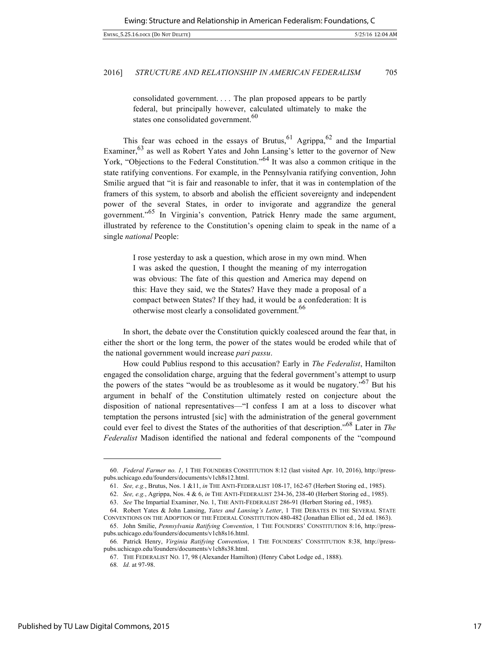consolidated government. . . . The plan proposed appears to be partly federal, but principally however, calculated ultimately to make the states one consolidated government.<sup>60</sup>

This fear was echoed in the essays of Brutus,  $61$  Agrippa,  $62$  and the Impartial Examiner,<sup>63</sup> as well as Robert Yates and John Lansing's letter to the governor of New York, "Objections to the Federal Constitution."<sup>64</sup> It was also a common critique in the state ratifying conventions. For example, in the Pennsylvania ratifying convention, John Smilie argued that "it is fair and reasonable to infer, that it was in contemplation of the framers of this system, to absorb and abolish the efficient sovereignty and independent power of the several States, in order to invigorate and aggrandize the general government."<sup>65</sup> In Virginia's convention, Patrick Henry made the same argument, illustrated by reference to the Constitution's opening claim to speak in the name of a single *national* People:

I rose yesterday to ask a question, which arose in my own mind. When I was asked the question, I thought the meaning of my interrogation was obvious: The fate of this question and America may depend on this: Have they said, we the States? Have they made a proposal of a compact between States? If they had, it would be a confederation: It is otherwise most clearly a consolidated government.<sup>66</sup>

In short, the debate over the Constitution quickly coalesced around the fear that, in either the short or the long term, the power of the states would be eroded while that of the national government would increase *pari passu*.

How could Publius respond to this accusation? Early in *The Federalist*, Hamilton engaged the consolidation charge, arguing that the federal government's attempt to usurp the powers of the states "would be as troublesome as it would be nugatory."67 But his argument in behalf of the Constitution ultimately rested on conjecture about the disposition of national representatives—"I confess I am at a loss to discover what temptation the persons intrusted [sic] with the administration of the general government could ever feel to divest the States of the authorities of that description."<sup>68</sup> Later in *The Federalist* Madison identified the national and federal components of the "compound

<sup>60.</sup> *Federal Farmer no. 1*, 1 THE FOUNDERS CONSTITUTION 8:12 (last visited Apr. 10, 2016), http://presspubs.uchicago.edu/founders/documents/v1ch8s12.html.

<sup>61.</sup> *See, e.g.*, Brutus, Nos. 1 &11, *in* THE ANTI-FEDERALIST 108-17, 162-67 (Herbert Storing ed., 1985).

<sup>62.</sup> *See, e.g.*, Agrippa, Nos. 4 & 6, *in* THE ANTI-FEDERALIST 234-36, 238-40 (Herbert Storing ed., 1985).

<sup>63.</sup> *See* The Impartial Examiner, No. 1, THE ANTI-FEDERALIST 286-91 (Herbert Storing ed., 1985).

<sup>64.</sup> Robert Yates & John Lansing, *Yates and Lansing's Letter*, 1 THE DEBATES IN THE SEVERAL STATE CONVENTIONS ON THE ADOPTION OF THE FEDERAL CONSTITUTION 480-482 (Jonathan Elliot ed., 2d ed. 1863).

<sup>65.</sup> John Smilie, *Pennsylvania Ratifying Convention*, 1 THE FOUNDERS' CONSTITUTION 8:16, http://presspubs.uchicago.edu/founders/documents/v1ch8s16.html.

<sup>66</sup>*.* Patrick Henry, *Virginia Ratifying Convention*, 1 THE FOUNDERS' CONSTITUTION 8:38, http://presspubs.uchicago.edu/founders/documents/v1ch8s38.html.

<sup>67.</sup> THE FEDERALIST NO. 17, 98 (Alexander Hamilton) (Henry Cabot Lodge ed., 1888).

<sup>68</sup>*. Id.* at 97-98.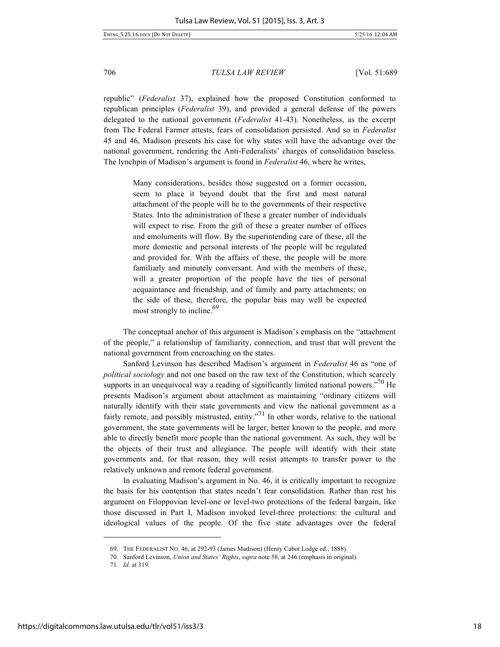republic" (*Federalist* 37), explained how the proposed Constitution conformed to republican principles (*Federalist* 39), and provided a general defense of the powers delegated to the national government (*Federalist* 41-43). Nonetheless, as the excerpt from The Federal Farmer attests, fears of consolidation persisted. And so in *Federalist*  45 and 46, Madison presents his case for why states will have the advantage over the national government, rendering the Anti-Federalists' charges of consolidation baseless. The lynchpin of Madison's argument is found in *Federalist* 46, where he writes,

> Many considerations, besides those suggested on a former occasion, seem to place it beyond doubt that the first and most natural attachment of the people will be to the governments of their respective States. Into the administration of these a greater number of individuals will expect to rise. From the gift of these a greater number of offices and emoluments will flow. By the superintending care of these, all the more domestic and personal interests of the people will be regulated and provided for. With the affairs of these, the people will be more familiarly and minutely conversant. And with the members of these, will a greater proportion of the people have the ties of personal acquaintance and friendship, and of family and party attachments; on the side of these, therefore, the popular bias may well be expected most strongly to incline.<sup>69</sup>

The conceptual anchor of this argument is Madison's emphasis on the "attachment of the people," a relationship of familiarity, connection, and trust that will prevent the national government from encroaching on the states.

Sanford Levinson has described Madison's argument in *Federalist* 46 as "one of *political sociology* and not one based on the raw text of the Constitution, which scarcely supports in an unequivocal way a reading of significantly limited national powers."<sup>70</sup> He presents Madison's argument about attachment as maintaining "ordinary citizens will naturally identify with their state governments and view the national government as a fairly remote, and possibly mistrusted, entity.<sup>"71</sup> In other words, relative to the national government, the state governments will be larger, better known to the people, and more able to directly benefit more people than the national government. As such, they will be the objects of their trust and allegiance. The people will identify with their state governments and, for that reason, they will resist attempts to transfer power to the relatively unknown and remote federal government.

In evaluating Madison's argument in No. 46, it is critically important to recognize the basis for his contention that states needn't fear consolidation. Rather than rest his argument on Filoppovian level-one or level-two protections of the federal bargain, like those discussed in Part I, Madison invoked level-three protections: the cultural and ideological values of the people. Of the five state advantages over the federal

<sup>69.</sup> THE FEDERALIST NO. 46, at 292-93 (James Madison) (Henry Cabot Lodge ed., 1888).

<sup>70</sup>*.* Sanford Levinson, *Union and States' Rights*, *supra* note 58, at 246 (emphasis in original).

<sup>71</sup>*. Id.* at 319.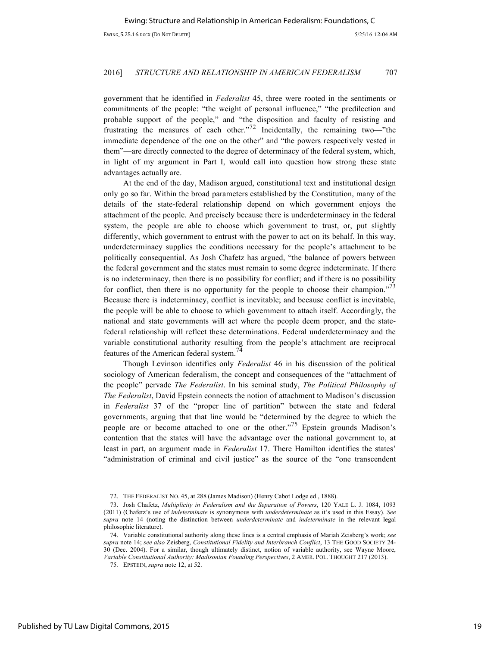government that he identified in *Federalist* 45, three were rooted in the sentiments or commitments of the people: "the weight of personal influence," "the predilection and probable support of the people," and "the disposition and faculty of resisting and frustrating the measures of each other."<sup>72</sup> Incidentally, the remaining two—"the immediate dependence of the one on the other" and "the powers respectively vested in them"—are directly connected to the degree of determinacy of the federal system, which, in light of my argument in Part I, would call into question how strong these state advantages actually are.

At the end of the day, Madison argued, constitutional text and institutional design only go so far. Within the broad parameters established by the Constitution, many of the details of the state-federal relationship depend on which government enjoys the attachment of the people. And precisely because there is underdeterminacy in the federal system, the people are able to choose which government to trust, or, put slightly differently, which government to entrust with the power to act on its behalf. In this way, underdeterminacy supplies the conditions necessary for the people's attachment to be politically consequential. As Josh Chafetz has argued, "the balance of powers between the federal government and the states must remain to some degree indeterminate. If there is no indeterminacy, then there is no possibility for conflict; and if there is no possibility for conflict, then there is no opportunity for the people to choose their champion."<sup>73</sup> Because there is indeterminacy, conflict is inevitable; and because conflict is inevitable, the people will be able to choose to which government to attach itself. Accordingly, the national and state governments will act where the people deem proper, and the statefederal relationship will reflect these determinations. Federal underdeterminacy and the variable constitutional authority resulting from the people's attachment are reciprocal features of the American federal system.<sup>74</sup>

Though Levinson identifies only *Federalist* 46 in his discussion of the political sociology of American federalism, the concept and consequences of the "attachment of the people" pervade *The Federalist*. In his seminal study, *The Political Philosophy of The Federalist*, David Epstein connects the notion of attachment to Madison's discussion in *Federalist* 37 of the "proper line of partition" between the state and federal governments, arguing that that line would be "determined by the degree to which the people are or become attached to one or the other."<sup>75</sup> Epstein grounds Madison's contention that the states will have the advantage over the national government to, at least in part, an argument made in *Federalist* 17. There Hamilton identifies the states' "administration of criminal and civil justice" as the source of the "one transcendent

-

<sup>72.</sup> THE FEDERALIST NO. 45, at 288 (James Madison) (Henry Cabot Lodge ed., 1888).

<sup>73.</sup> Josh Chafetz, *Multiplicity in Federalism and the Separation of Powers*, 120 YALE L. J. 1084, 1093 (2011) (Chafetz's use of *indeterminate* is synonymous with *underdeterminate* as it's used in this Essay). *See supra* note 14 (noting the distinction between *underdeterminate* and *indeterminate* in the relevant legal philosophic literature).

<sup>74.</sup> Variable constitutional authority along these lines is a central emphasis of Mariah Zeisberg's work; *see supra* note 14; *see also* Zeisberg, *Constitutional Fidelity and Interbranch Conflict*, 13 THE GOOD SOCIETY 24- 30 (Dec. 2004). For a similar, though ultimately distinct, notion of variable authority, see Wayne Moore, *Variable Constitutional Authority: Madisonian Founding Perspectives*, 2 AMER. POL. THOUGHT 217 (2013).

<sup>75</sup>*.* EPSTEIN, *supra* note 12, at 52.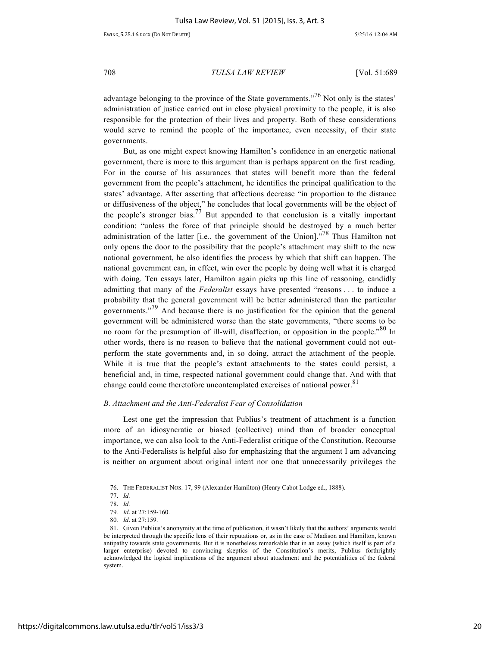EWING\_5.25.16.DOCX (DO NOT DELETE) 5/25/16 12:04 AM

708 *TULSA LAW REVIEW* [Vol. 51:689

advantage belonging to the province of the State governments.<sup>76</sup> Not only is the states' administration of justice carried out in close physical proximity to the people, it is also responsible for the protection of their lives and property. Both of these considerations would serve to remind the people of the importance, even necessity, of their state governments.

But, as one might expect knowing Hamilton's confidence in an energetic national government, there is more to this argument than is perhaps apparent on the first reading. For in the course of his assurances that states will benefit more than the federal government from the people's attachment, he identifies the principal qualification to the states' advantage. After asserting that affections decrease "in proportion to the distance or diffusiveness of the object," he concludes that local governments will be the object of the people's stronger bias.<sup>77</sup> But appended to that conclusion is a vitally important condition: "unless the force of that principle should be destroyed by a much better administration of the latter [i.e*.*, the government of the Union]."<sup>78</sup> Thus Hamilton not only opens the door to the possibility that the people's attachment may shift to the new national government, he also identifies the process by which that shift can happen. The national government can, in effect, win over the people by doing well what it is charged with doing. Ten essays later, Hamilton again picks up this line of reasoning, candidly admitting that many of the *Federalist* essays have presented "reasons . . . to induce a probability that the general government will be better administered than the particular governments.<sup>79</sup> And because there is no justification for the opinion that the general government will be administered worse than the state governments, "there seems to be no room for the presumption of ill-will, disaffection, or opposition in the people."<sup>80</sup> In other words, there is no reason to believe that the national government could not outperform the state governments and, in so doing, attract the attachment of the people. While it is true that the people's extant attachments to the states could persist, a beneficial and, in time, respected national government could change that. And with that change could come theretofore uncontemplated exercises of national power.<sup>81</sup>

# *B. Attachment and the Anti-Federalist Fear of Consolidation*

Lest one get the impression that Publius's treatment of attachment is a function more of an idiosyncratic or biased (collective) mind than of broader conceptual importance, we can also look to the Anti-Federalist critique of the Constitution. Recourse to the Anti-Federalists is helpful also for emphasizing that the argument I am advancing is neither an argument about original intent nor one that unnecessarily privileges the

<sup>76.</sup> THE FEDERALIST NOS. 17, 99 (Alexander Hamilton) (Henry Cabot Lodge ed., 1888).

<sup>77.</sup> *Id.*

<sup>78.</sup> *Id.*

<sup>79</sup>*. Id*. at 27:159-160.

<sup>80</sup>*. Id*. at 27:159.

<sup>81.</sup> Given Publius's anonymity at the time of publication, it wasn't likely that the authors' arguments would be interpreted through the specific lens of their reputations or, as in the case of Madison and Hamilton, known antipathy towards state governments. But it is nonetheless remarkable that in an essay (which itself is part of a larger enterprise) devoted to convincing skeptics of the Constitution's merits, Publius forthrightly acknowledged the logical implications of the argument about attachment and the potentialities of the federal system.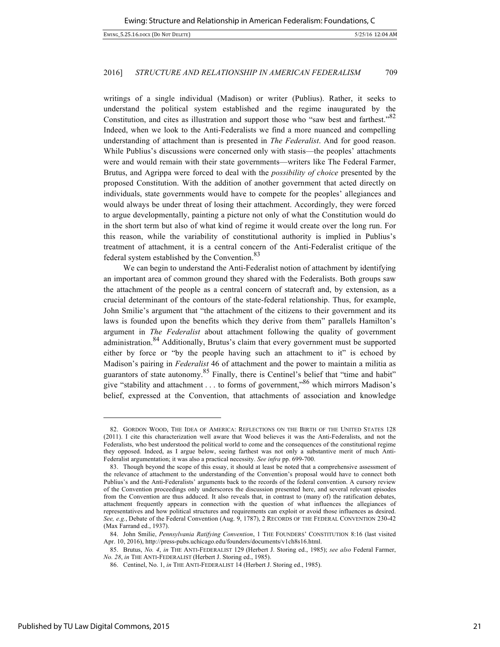writings of a single individual (Madison) or writer (Publius). Rather, it seeks to understand the political system established and the regime inaugurated by the Constitution, and cites as illustration and support those who "saw best and farthest."<sup>82</sup> Indeed, when we look to the Anti-Federalists we find a more nuanced and compelling understanding of attachment than is presented in *The Federalist*. And for good reason. While Publius's discussions were concerned only with stasis—the peoples' attachments were and would remain with their state governments—writers like The Federal Farmer, Brutus, and Agrippa were forced to deal with the *possibility of choice* presented by the proposed Constitution. With the addition of another government that acted directly on individuals, state governments would have to compete for the peoples' allegiances and would always be under threat of losing their attachment. Accordingly, they were forced to argue developmentally, painting a picture not only of what the Constitution would do in the short term but also of what kind of regime it would create over the long run. For this reason, while the variability of constitutional authority is implied in Publius's treatment of attachment, it is a central concern of the Anti-Federalist critique of the federal system established by the Convention.<sup>83</sup>

We can begin to understand the Anti-Federalist notion of attachment by identifying an important area of common ground they shared with the Federalists. Both groups saw the attachment of the people as a central concern of statecraft and, by extension, as a crucial determinant of the contours of the state-federal relationship. Thus, for example, John Smilie's argument that "the attachment of the citizens to their government and its laws is founded upon the benefits which they derive from them" parallels Hamilton's argument in *The Federalist* about attachment following the quality of government administration.<sup>84</sup> Additionally, Brutus's claim that every government must be supported either by force or "by the people having such an attachment to it" is echoed by Madison's pairing in *Federalist* 46 of attachment and the power to maintain a militia as guarantors of state autonomy.<sup>85</sup> Finally, there is Centinel's belief that "time and habit" give "stability and attachment  $\dots$  to forms of government,"<sup>86</sup> which mirrors Madison's belief, expressed at the Convention, that attachments of association and knowledge

<sup>82.</sup> GORDON WOOD, THE IDEA OF AMERICA: REFLECTIONS ON THE BIRTH OF THE UNITED STATES 128 (2011). I cite this characterization well aware that Wood believes it was the Anti-Federalists, and not the Federalists, who best understood the political world to come and the consequences of the constitutional regime they opposed. Indeed, as I argue below, seeing farthest was not only a substantive merit of much Anti-Federalist argumentation; it was also a practical necessity. *See infra* pp. 699-700.

<sup>83.</sup> Though beyond the scope of this essay, it should at least be noted that a comprehensive assessment of the relevance of attachment to the understanding of the Convention's proposal would have to connect both Publius's and the Anti-Federalists' arguments back to the records of the federal convention. A cursory review of the Convention proceedings only underscores the discussion presented here, and several relevant episodes from the Convention are thus adduced. It also reveals that, in contrast to (many of) the ratification debates, attachment frequently appears in connection with the question of what influences the allegiances of representatives and how political structures and requirements can exploit or avoid those influences as desired. *See, e.g.*, Debate of the Federal Convention (Aug. 9, 1787), 2 RECORDS OF THE FEDERAL CONVENTION 230-42 (Max Farrand ed., 1937).

<sup>84.</sup> John Smilie, *Pennsylvania Ratifying Convention*, 1 THE FOUNDERS' CONSTITUTION 8:16 (last visited Apr. 10, 2016), http://press-pubs.uchicago.edu/founders/documents/v1ch8s16.html.

<sup>85.</sup> Brutus, *No. 4*, *in* THE ANTI-FEDERALIST 129 (Herbert J. Storing ed., 1985); *see also* Federal Farmer, *No. 28*, *in* THE ANTI-FEDERALIST (Herbert J. Storing ed., 1985).

<sup>86.</sup> Centinel, No. 1, *in* THE ANTI-FEDERALIST 14 (Herbert J. Storing ed., 1985).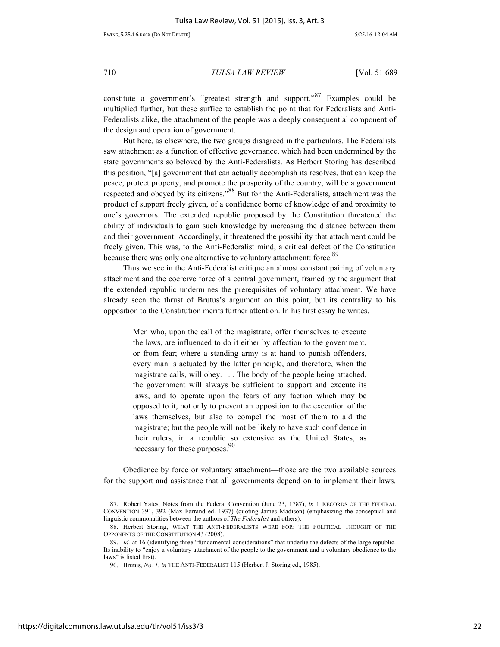constitute a government's "greatest strength and support." Examples could be multiplied further, but these suffice to establish the point that for Federalists and Anti-Federalists alike, the attachment of the people was a deeply consequential component of the design and operation of government.

But here, as elsewhere, the two groups disagreed in the particulars. The Federalists saw attachment as a function of effective governance, which had been undermined by the state governments so beloved by the Anti-Federalists. As Herbert Storing has described this position, "[a] government that can actually accomplish its resolves, that can keep the peace, protect property, and promote the prosperity of the country, will be a government respected and obeyed by its citizens."<sup>88</sup> But for the Anti-Federalists, attachment was the product of support freely given, of a confidence borne of knowledge of and proximity to one's governors. The extended republic proposed by the Constitution threatened the ability of individuals to gain such knowledge by increasing the distance between them and their government. Accordingly, it threatened the possibility that attachment could be freely given. This was, to the Anti-Federalist mind, a critical defect of the Constitution because there was only one alternative to voluntary attachment: force.<sup>89</sup>

Thus we see in the Anti-Federalist critique an almost constant pairing of voluntary attachment and the coercive force of a central government, framed by the argument that the extended republic undermines the prerequisites of voluntary attachment. We have already seen the thrust of Brutus's argument on this point, but its centrality to his opposition to the Constitution merits further attention. In his first essay he writes,

> Men who, upon the call of the magistrate, offer themselves to execute the laws, are influenced to do it either by affection to the government, or from fear; where a standing army is at hand to punish offenders, every man is actuated by the latter principle, and therefore, when the magistrate calls, will obey. . . . The body of the people being attached, the government will always be sufficient to support and execute its laws, and to operate upon the fears of any faction which may be opposed to it, not only to prevent an opposition to the execution of the laws themselves, but also to compel the most of them to aid the magistrate; but the people will not be likely to have such confidence in their rulers, in a republic so extensive as the United States, as necessary for these purposes.<sup>90</sup>

Obedience by force or voluntary attachment—those are the two available sources for the support and assistance that all governments depend on to implement their laws.

<sup>87.</sup> Robert Yates, Notes from the Federal Convention (June 23, 1787), *in* 1 RECORDS OF THE FEDERAL CONVENTION 391, 392 (Max Farrand ed. 1937) (quoting James Madison) (emphasizing the conceptual and linguistic commonalities between the authors of *The Federalist* and others).

<sup>88.</sup> Herbert Storing, WHAT THE ANTI-FEDERALISTS WERE FOR: THE POLITICAL THOUGHT OF THE OPPONENTS OF THE CONSTITUTION 43 (2008).

<sup>89.</sup> *Id.* at 16 (identifying three "fundamental considerations" that underlie the defects of the large republic. Its inability to "enjoy a voluntary attachment of the people to the government and a voluntary obedience to the laws" is listed first).

<sup>90.</sup> Brutus, *No. 1*, *in* THE ANTI-FEDERALIST 115 (Herbert J. Storing ed., 1985).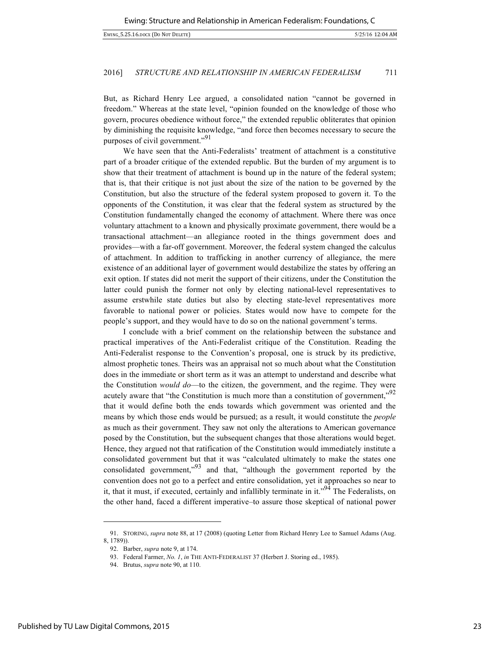But, as Richard Henry Lee argued, a consolidated nation "cannot be governed in freedom." Whereas at the state level, "opinion founded on the knowledge of those who govern, procures obedience without force," the extended republic obliterates that opinion by diminishing the requisite knowledge, "and force then becomes necessary to secure the purposes of civil government."<sup>91</sup>

We have seen that the Anti-Federalists' treatment of attachment is a constitutive part of a broader critique of the extended republic. But the burden of my argument is to show that their treatment of attachment is bound up in the nature of the federal system; that is, that their critique is not just about the size of the nation to be governed by the Constitution, but also the structure of the federal system proposed to govern it. To the opponents of the Constitution, it was clear that the federal system as structured by the Constitution fundamentally changed the economy of attachment. Where there was once voluntary attachment to a known and physically proximate government, there would be a transactional attachment—an allegiance rooted in the things government does and provides—with a far-off government. Moreover, the federal system changed the calculus of attachment. In addition to trafficking in another currency of allegiance, the mere existence of an additional layer of government would destabilize the states by offering an exit option. If states did not merit the support of their citizens, under the Constitution the latter could punish the former not only by electing national-level representatives to assume erstwhile state duties but also by electing state-level representatives more favorable to national power or policies. States would now have to compete for the people's support, and they would have to do so on the national government's terms.

I conclude with a brief comment on the relationship between the substance and practical imperatives of the Anti-Federalist critique of the Constitution. Reading the Anti-Federalist response to the Convention's proposal, one is struck by its predictive, almost prophetic tones. Theirs was an appraisal not so much about what the Constitution does in the immediate or short term as it was an attempt to understand and describe what the Constitution *would do*—to the citizen, the government, and the regime. They were acutely aware that "the Constitution is much more than a constitution of government,"<sup>92</sup> that it would define both the ends towards which government was oriented and the means by which those ends would be pursued; as a result, it would constitute the *people* as much as their government. They saw not only the alterations to American governance posed by the Constitution, but the subsequent changes that those alterations would beget. Hence, they argued not that ratification of the Constitution would immediately institute a consolidated government but that it was "calculated ultimately to make the states one consolidated government,"93 and that, "although the government reported by the convention does not go to a perfect and entire consolidation, yet it approaches so near to it, that it must, if executed, certainly and infallibly terminate in it."<sup>94</sup> The Federalists, on the other hand, faced a different imperative–to assure those skeptical of national power

<sup>91.</sup> STORING, *supra* note 88, at 17 (2008) (quoting Letter from Richard Henry Lee to Samuel Adams (Aug. 8, 1789)).

<sup>92.</sup> Barber, *supra* note 9, at 174.

<sup>93.</sup> Federal Farmer, *No. 1*, *in* THE ANTI-FEDERALIST 37 (Herbert J. Storing ed., 1985).

<sup>94.</sup> Brutus, *supra* note 90, at 110.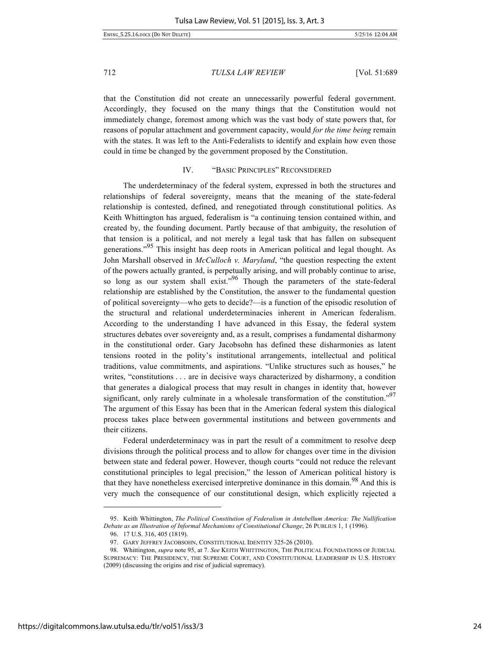that the Constitution did not create an unnecessarily powerful federal government. Accordingly, they focused on the many things that the Constitution would not immediately change, foremost among which was the vast body of state powers that, for reasons of popular attachment and government capacity, would *for the time being* remain with the states. It was left to the Anti-Federalists to identify and explain how even those could in time be changed by the government proposed by the Constitution.

# IV. "BASIC PRINCIPLES" RECONSIDERED

The underdeterminacy of the federal system, expressed in both the structures and relationships of federal sovereignty, means that the meaning of the state-federal relationship is contested, defined, and renegotiated through constitutional politics. As Keith Whittington has argued, federalism is "a continuing tension contained within, and created by, the founding document. Partly because of that ambiguity, the resolution of that tension is a political, and not merely a legal task that has fallen on subsequent generations."<sup>95</sup> This insight has deep roots in American political and legal thought. As John Marshall observed in *McCulloch v. Maryland*, "the question respecting the extent of the powers actually granted, is perpetually arising, and will probably continue to arise, so long as our system shall exist."<sup>96</sup> Though the parameters of the state-federal relationship are established by the Constitution, the answer to the fundamental question of political sovereignty—who gets to decide?—is a function of the episodic resolution of the structural and relational underdeterminacies inherent in American federalism. According to the understanding I have advanced in this Essay, the federal system structures debates over sovereignty and, as a result, comprises a fundamental disharmony in the constitutional order. Gary Jacobsohn has defined these disharmonies as latent tensions rooted in the polity's institutional arrangements, intellectual and political traditions, value commitments, and aspirations. "Unlike structures such as houses," he writes, "constitutions . . . are in decisive ways characterized by disharmony, a condition that generates a dialogical process that may result in changes in identity that, however significant, only rarely culminate in a wholesale transformation of the constitution."<sup>97</sup> The argument of this Essay has been that in the American federal system this dialogical process takes place between governmental institutions and between governments and their citizens.

Federal underdeterminacy was in part the result of a commitment to resolve deep divisions through the political process and to allow for changes over time in the division between state and federal power. However, though courts "could not reduce the relevant constitutional principles to legal precision," the lesson of American political history is that they have nonetheless exercised interpretive dominance in this domain.<sup>98</sup> And this is very much the consequence of our constitutional design, which explicitly rejected a

<sup>95.</sup> Keith Whittington, *The Political Constitution of Federalism in Antebellum America: The Nullification Debate as an Illustration of Informal Mechanisms of Constitutional Change*, 26 PUBLIUS 1, 1 (1996).

<sup>96.</sup> 17 U.S. 316, 405 (1819).

<sup>97.</sup> GARY JEFFREY JACOBSOHN, CONSTITUTIONAL IDENTITY 325-26 (2010).

<sup>98.</sup> Whittington, *supra* note 95, at 7. *See* KEITH WHITTINGTON, THE POLITICAL FOUNDATIONS OF JUDICIAL SUPREMACY: THE PRESIDENCY, THE SUPREME COURT, AND CONSTITUTIONAL LEADERSHIP IN U.S. HISTORY (2009) (discussing the origins and rise of judicial supremacy).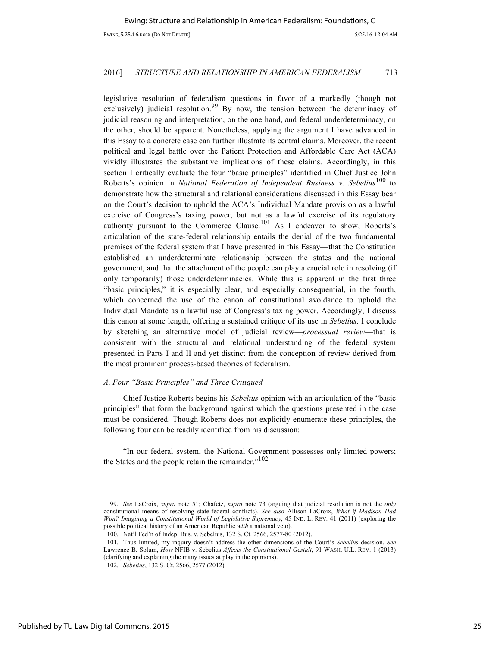legislative resolution of federalism questions in favor of a markedly (though not exclusively) judicial resolution.<sup>99</sup> By now, the tension between the determinacy of judicial reasoning and interpretation, on the one hand, and federal underdeterminacy, on the other, should be apparent. Nonetheless, applying the argument I have advanced in this Essay to a concrete case can further illustrate its central claims. Moreover, the recent political and legal battle over the Patient Protection and Affordable Care Act (ACA) vividly illustrates the substantive implications of these claims. Accordingly, in this section I critically evaluate the four "basic principles" identified in Chief Justice John Roberts's opinion in *National Federation of Independent Business v. Sebelius*<sup>100</sup> to demonstrate how the structural and relational considerations discussed in this Essay bear on the Court's decision to uphold the ACA's Individual Mandate provision as a lawful exercise of Congress's taxing power, but not as a lawful exercise of its regulatory authority pursuant to the Commerce Clause.<sup>101</sup> As I endeavor to show, Roberts's articulation of the state-federal relationship entails the denial of the two fundamental premises of the federal system that I have presented in this Essay—that the Constitution established an underdeterminate relationship between the states and the national government, and that the attachment of the people can play a crucial role in resolving (if only temporarily) those underdeterminacies. While this is apparent in the first three "basic principles," it is especially clear, and especially consequential, in the fourth, which concerned the use of the canon of constitutional avoidance to uphold the Individual Mandate as a lawful use of Congress's taxing power. Accordingly, I discuss this canon at some length, offering a sustained critique of its use in *Sebelius*. I conclude by sketching an alternative model of judicial review—*processual review*—that is consistent with the structural and relational understanding of the federal system presented in Parts I and II and yet distinct from the conception of review derived from the most prominent process-based theories of federalism.

# *A. Four "Basic Principles" and Three Critiqued*

Chief Justice Roberts begins his *Sebelius* opinion with an articulation of the "basic principles" that form the background against which the questions presented in the case must be considered. Though Roberts does not explicitly enumerate these principles, the following four can be readily identified from his discussion:

"In our federal system, the National Government possesses only limited powers; the States and the people retain the remainder."<sup>102</sup>

<sup>99.</sup> *See* LaCroix, *supra* note 51; Chafetz, *supra* note 73 (arguing that judicial resolution is not the *only* constitutional means of resolving state-federal conflicts). *See also* Allison LaCroix, *What if Madison Had Won? Imagining a Constitutional World of Legislative Supremacy*, 45 IND. L. REV. 41 (2011) (exploring the possible political history of an American Republic *with* a national veto).

<sup>100.</sup> Nat'l Fed'n of Indep. Bus. v. Sebelius, 132 S. Ct. 2566, 2577-80 (2012).

<sup>101.</sup> Thus limited, my inquiry doesn't address the other dimensions of the Court's *Sebelius* decision. *See* Lawrence B. Solum, *How* NFIB v. Sebelius *Affects the Constitutional Gestalt*, 91 WASH. U.L. REV. 1 (2013) (clarifying and explaining the many issues at play in the opinions).

<sup>102.</sup> *Sebelius*, 132 S. Ct. 2566, 2577 (2012).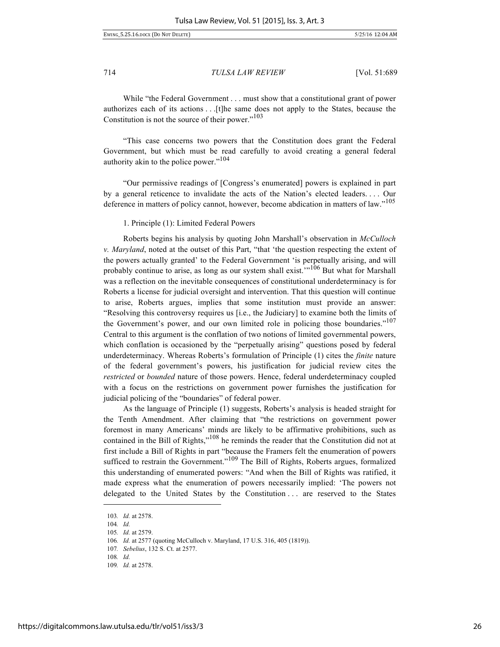EWING\_5.25.16.DOCX (DO NOT DELETE) 5/25/16 12:04 AM

714 *TULSA LAW REVIEW* [Vol. 51:689

While "the Federal Government . . . must show that a constitutional grant of power authorizes each of its actions . . .[t]he same does not apply to the States, because the Constitution is not the source of their power."<sup>103</sup>

"This case concerns two powers that the Constitution does grant the Federal Government, but which must be read carefully to avoid creating a general federal authority akin to the police power."<sup>104</sup>

"Our permissive readings of [Congress's enumerated] powers is explained in part by a general reticence to invalidate the acts of the Nation's elected leaders. . . . Our deference in matters of policy cannot, however, become abdication in matters of law."<sup>105</sup>

1. Principle (1): Limited Federal Powers

Roberts begins his analysis by quoting John Marshall's observation in *McCulloch v. Maryland*, noted at the outset of this Part, "that 'the question respecting the extent of the powers actually granted' to the Federal Government 'is perpetually arising, and will probably continue to arise, as long as our system shall exist.<sup>"106</sup> But what for Marshall was a reflection on the inevitable consequences of constitutional underdeterminacy is for Roberts a license for judicial oversight and intervention. That this question will continue to arise, Roberts argues, implies that some institution must provide an answer: "Resolving this controversy requires us [i.e., the Judiciary] to examine both the limits of the Government's power, and our own limited role in policing those boundaries."<sup>107</sup> Central to this argument is the conflation of two notions of limited governmental powers, which conflation is occasioned by the "perpetually arising" questions posed by federal underdeterminacy. Whereas Roberts's formulation of Principle (1) cites the *finite* nature of the federal government's powers, his justification for judicial review cites the *restricted* or *bounded* nature of those powers. Hence, federal underdeterminacy coupled with a focus on the restrictions on government power furnishes the justification for judicial policing of the "boundaries" of federal power.

As the language of Principle (1) suggests, Roberts's analysis is headed straight for the Tenth Amendment. After claiming that "the restrictions on government power foremost in many Americans' minds are likely to be affirmative prohibitions, such as contained in the Bill of Rights,"<sup>108</sup> he reminds the reader that the Constitution did not at first include a Bill of Rights in part "because the Framers felt the enumeration of powers sufficed to restrain the Government."<sup>109</sup> The Bill of Rights, Roberts argues, formalized this understanding of enumerated powers: "And when the Bill of Rights was ratified, it made express what the enumeration of powers necessarily implied: 'The powers not delegated to the United States by the Constitution . . . are reserved to the States

-

<sup>103</sup>*. Id.* at 2578.

<sup>104</sup>*. Id.*

<sup>105</sup>*. Id.* at 2579.

<sup>106</sup>*. Id.* at 2577 (quoting McCulloch v. Maryland, 17 U.S. 316, 405 (1819)).

<sup>107</sup>*. Sebelius*, 132 S. Ct. at 2577.

<sup>108</sup>*. Id.*

<sup>109</sup>*. Id.* at 2578.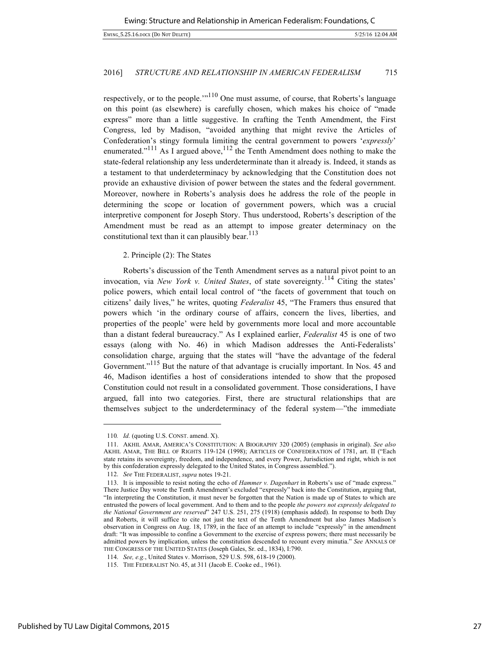respectively, or to the people. $^{110}$  One must assume, of course, that Roberts's language on this point (as elsewhere) is carefully chosen, which makes his choice of "made express" more than a little suggestive. In crafting the Tenth Amendment, the First Congress, led by Madison, "avoided anything that might revive the Articles of Confederation's stingy formula limiting the central government to powers '*expressly*' enumerated."<sup>111</sup> As I argued above,<sup>112</sup> the Tenth Amendment does nothing to make the state-federal relationship any less underdeterminate than it already is. Indeed, it stands as a testament to that underdeterminacy by acknowledging that the Constitution does not provide an exhaustive division of power between the states and the federal government. Moreover, nowhere in Roberts's analysis does he address the role of the people in determining the scope or location of government powers, which was a crucial interpretive component for Joseph Story. Thus understood, Roberts's description of the Amendment must be read as an attempt to impose greater determinacy on the constitutional text than it can plausibly bear.  $113$ 

# 2. Principle (2): The States

Roberts's discussion of the Tenth Amendment serves as a natural pivot point to an invocation, via *New York v. United States*, of state sovereignty.<sup>114</sup> Citing the states' police powers, which entail local control of "the facets of government that touch on citizens' daily lives," he writes, quoting *Federalist* 45, "The Framers thus ensured that powers which 'in the ordinary course of affairs, concern the lives, liberties, and properties of the people' were held by governments more local and more accountable than a distant federal bureaucracy." As I explained earlier, *Federalist* 45 is one of two essays (along with No. 46) in which Madison addresses the Anti-Federalists' consolidation charge, arguing that the states will "have the advantage of the federal Government."<sup>115</sup> But the nature of that advantage is crucially important. In Nos. 45 and 46, Madison identifies a host of considerations intended to show that the proposed Constitution could not result in a consolidated government. Those considerations, I have argued, fall into two categories. First, there are structural relationships that are themselves subject to the underdeterminacy of the federal system—"the immediate

<sup>110</sup>*. Id.* (quoting U.S. CONST. amend. X).

<sup>111.</sup> AKHIL AMAR, AMERICA'S CONSTITUTION: A BIOGRAPHY 320 (2005) (emphasis in original). *See also* AKHIL AMAR, THE BILL OF RIGHTS 119-124 (1998); ARTICLES OF CONFEDERATION of 1781, art. II ("Each state retains its sovereignty, freedom, and independence, and every Power, Jurisdiction and right, which is not by this confederation expressly delegated to the United States, in Congress assembled.").

<sup>112.</sup> *See* THE FEDERALIST, *supra* notes 19-21.

<sup>113.</sup> It is impossible to resist noting the echo of *Hammer v. Dagenhart* in Roberts's use of "made express." There Justice Day wrote the Tenth Amendment's excluded "expressly" back into the Constitution, arguing that, "In interpreting the Constitution, it must never be forgotten that the Nation is made up of States to which are entrusted the powers of local government. And to them and to the people *the powers not expressly delegated to the National Government are reserved*" 247 U.S. 251, 275 (1918) (emphasis added). In response to both Day and Roberts, it will suffice to cite not just the text of the Tenth Amendment but also James Madison's observation in Congress on Aug. 18, 1789, in the face of an attempt to include "expressly" in the amendment draft: "It was impossible to confine a Government to the exercise of express powers; there must necessarily be admitted powers by implication, unless the constitution descended to recount every minutia." *See* ANNALS OF THE CONGRESS OF THE UNITED STATES (Joseph Gales, Sr. ed., 1834), I:790.

<sup>114.</sup> *See, e.g.*, United States v. Morrison, 529 U.S. 598, 618-19 (2000).

<sup>115.</sup> THE FEDERALIST NO. 45, at 311 (Jacob E. Cooke ed., 1961).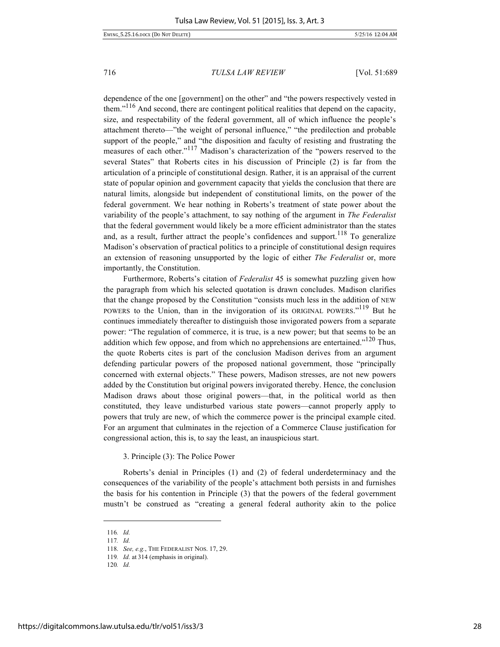dependence of the one [government] on the other" and "the powers respectively vested in them. $116$  And second, there are contingent political realities that depend on the capacity, size, and respectability of the federal government, all of which influence the people's attachment thereto—"the weight of personal influence," "the predilection and probable support of the people," and "the disposition and faculty of resisting and frustrating the measures of each other."<sup>117</sup> Madison's characterization of the "powers reserved to the several States" that Roberts cites in his discussion of Principle (2) is far from the articulation of a principle of constitutional design. Rather, it is an appraisal of the current state of popular opinion and government capacity that yields the conclusion that there are natural limits, alongside but independent of constitutional limits, on the power of the federal government. We hear nothing in Roberts's treatment of state power about the variability of the people's attachment, to say nothing of the argument in *The Federalist* that the federal government would likely be a more efficient administrator than the states and, as a result, further attract the people's confidences and support.<sup>118</sup> To generalize Madison's observation of practical politics to a principle of constitutional design requires an extension of reasoning unsupported by the logic of either *The Federalist* or, more importantly, the Constitution.

Furthermore, Roberts's citation of *Federalist* 45 is somewhat puzzling given how the paragraph from which his selected quotation is drawn concludes. Madison clarifies that the change proposed by the Constitution "consists much less in the addition of NEW POWERS to the Union, than in the invigoration of its ORIGINAL POWERS."<sup>119</sup> But he continues immediately thereafter to distinguish those invigorated powers from a separate power: "The regulation of commerce, it is true, is a new power; but that seems to be an addition which few oppose, and from which no apprehensions are entertained."<sup>120</sup> Thus, the quote Roberts cites is part of the conclusion Madison derives from an argument defending particular powers of the proposed national government, those "principally concerned with external objects." These powers, Madison stresses, are not new powers added by the Constitution but original powers invigorated thereby. Hence, the conclusion Madison draws about those original powers—that, in the political world as then constituted, they leave undisturbed various state powers—cannot properly apply to powers that truly are new, of which the commerce power is the principal example cited. For an argument that culminates in the rejection of a Commerce Clause justification for congressional action, this is, to say the least, an inauspicious start.

3. Principle (3): The Police Power

Roberts's denial in Principles (1) and (2) of federal underdeterminacy and the consequences of the variability of the people's attachment both persists in and furnishes the basis for his contention in Principle (3) that the powers of the federal government mustn't be construed as "creating a general federal authority akin to the police

<sup>116</sup>*. Id.*

<sup>117</sup>*. Id.*

<sup>118.</sup> *See, e.g.*, THE FEDERALIST NOS. 17, 29.

<sup>119</sup>*. Id.* at 314 (emphasis in original).

<sup>120</sup>*. Id.*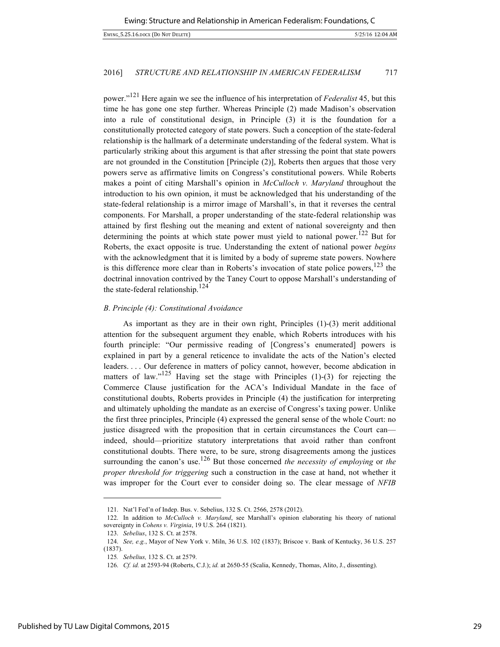power."<sup>121</sup> Here again we see the influence of his interpretation of *Federalist* 45, but this time he has gone one step further. Whereas Principle (2) made Madison's observation into a rule of constitutional design, in Principle (3) it is the foundation for a constitutionally protected category of state powers. Such a conception of the state-federal relationship is the hallmark of a determinate understanding of the federal system. What is particularly striking about this argument is that after stressing the point that state powers are not grounded in the Constitution [Principle (2)], Roberts then argues that those very powers serve as affirmative limits on Congress's constitutional powers. While Roberts makes a point of citing Marshall's opinion in *McCulloch v. Maryland* throughout the introduction to his own opinion, it must be acknowledged that his understanding of the state-federal relationship is a mirror image of Marshall's, in that it reverses the central components. For Marshall, a proper understanding of the state-federal relationship was attained by first fleshing out the meaning and extent of national sovereignty and then determining the points at which state power must yield to national power.<sup>122</sup> But for Roberts, the exact opposite is true. Understanding the extent of national power *begins* with the acknowledgment that it is limited by a body of supreme state powers. Nowhere is this difference more clear than in Roberts's invocation of state police powers, $123$  the doctrinal innovation contrived by the Taney Court to oppose Marshall's understanding of the state-federal relationship.<sup>124</sup>

#### *B. Principle (4): Constitutional Avoidance*

As important as they are in their own right, Principles (1)-(3) merit additional attention for the subsequent argument they enable, which Roberts introduces with his fourth principle: "Our permissive reading of [Congress's enumerated] powers is explained in part by a general reticence to invalidate the acts of the Nation's elected leaders. . . . Our deference in matters of policy cannot, however, become abdication in matters of law." $125$  Having set the stage with Principles (1)-(3) for rejecting the Commerce Clause justification for the ACA's Individual Mandate in the face of constitutional doubts, Roberts provides in Principle (4) the justification for interpreting and ultimately upholding the mandate as an exercise of Congress's taxing power. Unlike the first three principles, Principle (4) expressed the general sense of the whole Court: no justice disagreed with the proposition that in certain circumstances the Court can indeed, should—prioritize statutory interpretations that avoid rather than confront constitutional doubts. There were, to be sure, strong disagreements among the justices surrounding the canon's use.<sup>126</sup> But those concerned *the necessity of employing* or *the proper threshold for triggering* such a construction in the case at hand, not whether it was improper for the Court ever to consider doing so. The clear message of *NFIB*

<sup>121.</sup> Nat'l Fed'n of Indep. Bus. v. Sebelius, 132 S. Ct. 2566, 2578 (2012).

<sup>122.</sup> In addition to *McCulloch v. Maryland*, see Marshall's opinion elaborating his theory of national sovereignty in *Cohens v. Virginia*, 19 U.S. 264 (1821).

<sup>123.</sup> *Sebelius*, 132 S. Ct. at 2578.

<sup>124.</sup> *See, e.g.*, Mayor of New York v. Miln, 36 U.S. 102 (1837); Briscoe v. Bank of Kentucky, 36 U.S. 257 (1837).

<sup>125</sup>*. Sebelius,* 132 S. Ct. at 2579.

<sup>126.</sup> *Cf. id.* at 2593-94 (Roberts, C.J.); *id.* at 2650-55 (Scalia, Kennedy, Thomas, Alito, J., dissenting).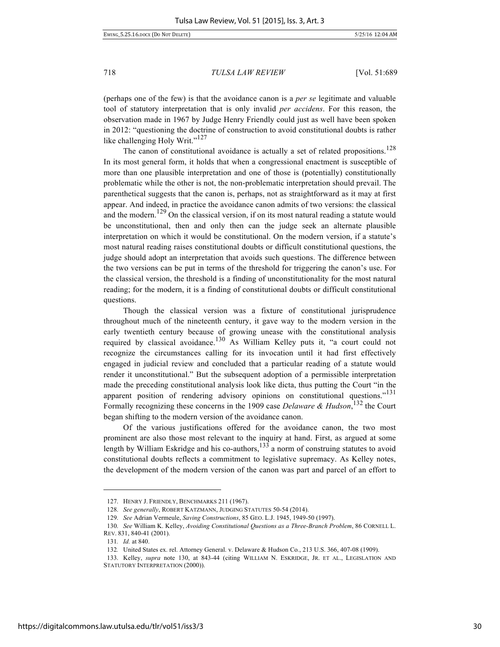(perhaps one of the few) is that the avoidance canon is a *per se* legitimate and valuable tool of statutory interpretation that is only invalid *per accidens*. For this reason, the observation made in 1967 by Judge Henry Friendly could just as well have been spoken in 2012: "questioning the doctrine of construction to avoid constitutional doubts is rather like challenging Holy Writ."<sup>127</sup>

The canon of constitutional avoidance is actually a set of related propositions.<sup>128</sup> In its most general form, it holds that when a congressional enactment is susceptible of more than one plausible interpretation and one of those is (potentially) constitutionally problematic while the other is not, the non-problematic interpretation should prevail. The parenthetical suggests that the canon is, perhaps, not as straightforward as it may at first appear. And indeed, in practice the avoidance canon admits of two versions: the classical and the modern.<sup>129</sup> On the classical version, if on its most natural reading a statute would be unconstitutional, then and only then can the judge seek an alternate plausible interpretation on which it would be constitutional. On the modern version, if a statute's most natural reading raises constitutional doubts or difficult constitutional questions, the judge should adopt an interpretation that avoids such questions. The difference between the two versions can be put in terms of the threshold for triggering the canon's use. For the classical version, the threshold is a finding of unconstitutionality for the most natural reading; for the modern, it is a finding of constitutional doubts or difficult constitutional questions.

Though the classical version was a fixture of constitutional jurisprudence throughout much of the nineteenth century, it gave way to the modern version in the early twentieth century because of growing unease with the constitutional analysis required by classical avoidance.<sup>130</sup> As William Kelley puts it, "a court could not recognize the circumstances calling for its invocation until it had first effectively engaged in judicial review and concluded that a particular reading of a statute would render it unconstitutional." But the subsequent adoption of a permissible interpretation made the preceding constitutional analysis look like dicta, thus putting the Court "in the apparent position of rendering advisory opinions on constitutional questions."<sup>131</sup> Formally recognizing these concerns in the 1909 case *Delaware & Hudson*, <sup>132</sup> the Court began shifting to the modern version of the avoidance canon.

Of the various justifications offered for the avoidance canon, the two most prominent are also those most relevant to the inquiry at hand. First, as argued at some length by William Eskridge and his co-authors, $133$  a norm of construing statutes to avoid constitutional doubts reflects a commitment to legislative supremacy. As Kelley notes, the development of the modern version of the canon was part and parcel of an effort to

-

<sup>127.</sup> HENRY J. FRIENDLY, BENCHMARKS 211 (1967).

<sup>128.</sup> *See generally*, ROBERT KATZMANN, JUDGING STATUTES 50-54 (2014).

<sup>129.</sup> *See* Adrian Vermeule, *Saving Constructions*, 85 GEO. L.J. 1945, 1949-50 (1997).

<sup>130.</sup> *See* William K. Kelley, *Avoiding Constitutional Questions as a Three-Branch Problem*, 86 CORNELL L. REV. 831, 840-41 (2001).

<sup>131</sup>*. Id.* at 840.

<sup>132</sup>*.* United States ex. rel. Attorney General. v. Delaware & Hudson Co*.*, 213 U.S. 366, 407-08 (1909).

<sup>133.</sup> Kelley, *supra* note 130, at 843-44 (citing WILLIAM N. ESKRIDGE, JR. ET AL., LEGISLATION AND STATUTORY INTERPRETATION (2000)).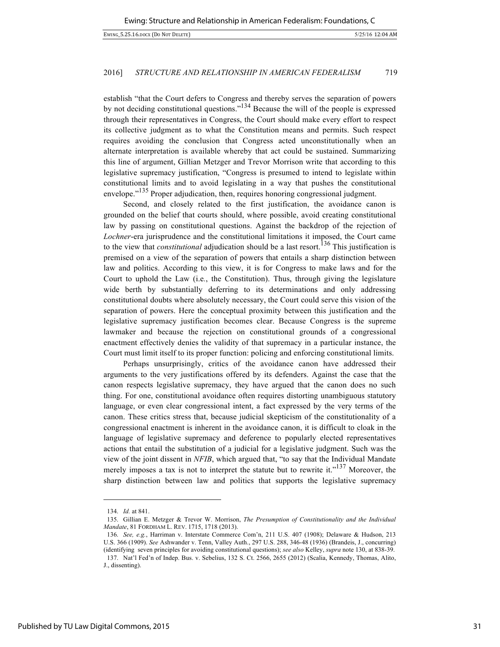establish "that the Court defers to Congress and thereby serves the separation of powers by not deciding constitutional questions."<sup>134</sup> Because the will of the people is expressed through their representatives in Congress, the Court should make every effort to respect its collective judgment as to what the Constitution means and permits. Such respect requires avoiding the conclusion that Congress acted unconstitutionally when an alternate interpretation is available whereby that act could be sustained. Summarizing this line of argument, Gillian Metzger and Trevor Morrison write that according to this legislative supremacy justification, "Congress is presumed to intend to legislate within constitutional limits and to avoid legislating in a way that pushes the constitutional envelope."<sup>135</sup> Proper adjudication, then, requires honoring congressional judgment.

Second, and closely related to the first justification, the avoidance canon is grounded on the belief that courts should, where possible, avoid creating constitutional law by passing on constitutional questions. Against the backdrop of the rejection of *Lochner*-era jurisprudence and the constitutional limitations it imposed, the Court came to the view that *constitutional* adjudication should be a last resort.<sup>136</sup> This justification is premised on a view of the separation of powers that entails a sharp distinction between law and politics. According to this view, it is for Congress to make laws and for the Court to uphold the Law (i.e*.*, the Constitution). Thus, through giving the legislature wide berth by substantially deferring to its determinations and only addressing constitutional doubts where absolutely necessary, the Court could serve this vision of the separation of powers. Here the conceptual proximity between this justification and the legislative supremacy justification becomes clear. Because Congress is the supreme lawmaker and because the rejection on constitutional grounds of a congressional enactment effectively denies the validity of that supremacy in a particular instance, the Court must limit itself to its proper function: policing and enforcing constitutional limits.

Perhaps unsurprisingly, critics of the avoidance canon have addressed their arguments to the very justifications offered by its defenders. Against the case that the canon respects legislative supremacy, they have argued that the canon does no such thing. For one, constitutional avoidance often requires distorting unambiguous statutory language, or even clear congressional intent, a fact expressed by the very terms of the canon. These critics stress that, because judicial skepticism of the constitutionality of a congressional enactment is inherent in the avoidance canon, it is difficult to cloak in the language of legislative supremacy and deference to popularly elected representatives actions that entail the substitution of a judicial for a legislative judgment. Such was the view of the joint dissent in *NFIB*, which argued that, "to say that the Individual Mandate merely imposes a tax is not to interpret the statute but to rewrite it."<sup>137</sup> Moreover, the sharp distinction between law and politics that supports the legislative supremacy

<sup>134.</sup> *Id.* at 841.

<sup>135.</sup> Gillian E. Metzger & Trevor W. Morrison, *The Presumption of Constitutionality and the Individual Mandate*, 81 FORDHAM L. REV. 1715, 1718 (2013).

<sup>136.</sup> *See, e.g.*, Harriman v. Interstate Commerce Com'n, 211 U.S. 407 (1908); Delaware & Hudson, 213 U.S. 366 (1909). *See* Ashwander v. Tenn, Valley Auth., 297 U.S. 288, 346-48 (1936) (Brandeis, J., concurring) (identifying seven principles for avoiding constitutional questions); *see also* Kelley, *supra* note 130, at 838-39. 137. Nat'l Fed'n of Indep. Bus. v. Sebelius, 132 S. Ct. 2566, 2655 (2012) (Scalia, Kennedy, Thomas, Alito, J., dissenting).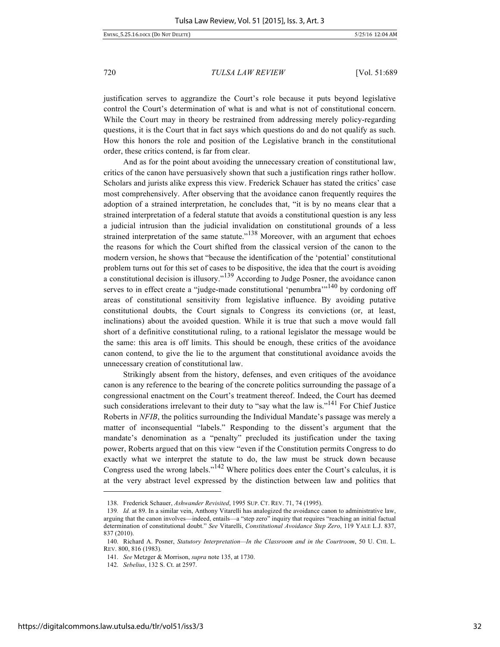justification serves to aggrandize the Court's role because it puts beyond legislative control the Court's determination of what is and what is not of constitutional concern. While the Court may in theory be restrained from addressing merely policy-regarding questions, it is the Court that in fact says which questions do and do not qualify as such. How this honors the role and position of the Legislative branch in the constitutional order, these critics contend, is far from clear.

And as for the point about avoiding the unnecessary creation of constitutional law, critics of the canon have persuasively shown that such a justification rings rather hollow. Scholars and jurists alike express this view. Frederick Schauer has stated the critics' case most comprehensively. After observing that the avoidance canon frequently requires the adoption of a strained interpretation, he concludes that, "it is by no means clear that a strained interpretation of a federal statute that avoids a constitutional question is any less a judicial intrusion than the judicial invalidation on constitutional grounds of a less strained interpretation of the same statute.<sup> $138$ </sup> Moreover, with an argument that echoes the reasons for which the Court shifted from the classical version of the canon to the modern version, he shows that "because the identification of the 'potential' constitutional problem turns out for this set of cases to be dispositive, the idea that the court is avoiding a constitutional decision is illusory."<sup>139</sup> According to Judge Posner, the avoidance canon serves to in effect create a "judge-made constitutional 'penumbra'"<sup>140</sup> by cordoning off areas of constitutional sensitivity from legislative influence. By avoiding putative constitutional doubts, the Court signals to Congress its convictions (or, at least, inclinations) about the avoided question. While it is true that such a move would fall short of a definitive constitutional ruling, to a rational legislator the message would be the same: this area is off limits. This should be enough, these critics of the avoidance canon contend, to give the lie to the argument that constitutional avoidance avoids the unnecessary creation of constitutional law.

Strikingly absent from the history, defenses, and even critiques of the avoidance canon is any reference to the bearing of the concrete politics surrounding the passage of a congressional enactment on the Court's treatment thereof. Indeed, the Court has deemed such considerations irrelevant to their duty to "say what the law is."<sup>141</sup> For Chief Justice Roberts in *NFIB*, the politics surrounding the Individual Mandate's passage was merely a matter of inconsequential "labels." Responding to the dissent's argument that the mandate's denomination as a "penalty" precluded its justification under the taxing power, Roberts argued that on this view "even if the Constitution permits Congress to do exactly what we interpret the statute to do, the law must be struck down because Congress used the wrong labels."<sup>142</sup> Where politics does enter the Court's calculus, it is at the very abstract level expressed by the distinction between law and politics that

<sup>138.</sup> Frederick Schauer, *Ashwander Revisited*, 1995 SUP. CT. REV. 71, 74 (1995).

<sup>139</sup>*. Id.* at 89. In a similar vein, Anthony Vitarelli has analogized the avoidance canon to administrative law, arguing that the canon involves—indeed, entails—a "step zero" inquiry that requires "reaching an initial factual determination of constitutional doubt." *See* Vitarelli, *Constitutional Avoidance Step Zero*, 119 YALE L.J. 837, 837 (2010).

<sup>140.</sup> Richard A. Posner, *Statutory Interpretation—In the Classroom and in the Courtroom*, 50 U. CHI. L. REV. 800, 816 (1983).

<sup>141.</sup> *See* Metzger & Morrison, *supra* note 135, at 1730.

<sup>142.</sup> *Sebelius*, 132 S. Ct. at 2597.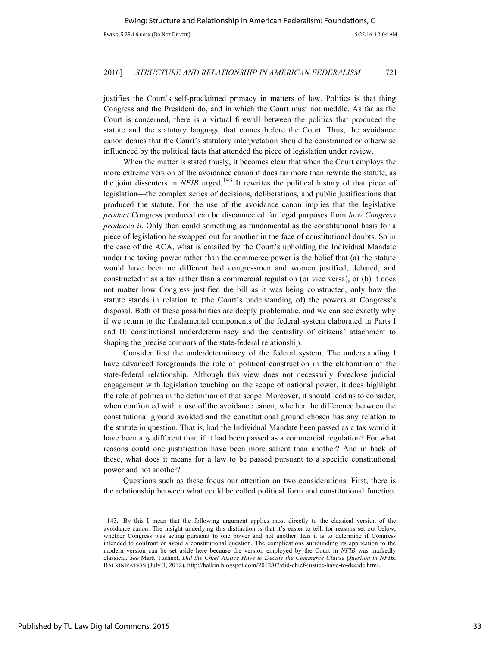justifies the Court's self-proclaimed primacy in matters of law. Politics is that thing Congress and the President do, and in which the Court must not meddle. As far as the Court is concerned, there is a virtual firewall between the politics that produced the statute and the statutory language that comes before the Court. Thus, the avoidance canon denies that the Court's statutory interpretation should be constrained or otherwise influenced by the political facts that attended the piece of legislation under review.

When the matter is stated thusly, it becomes clear that when the Court employs the more extreme version of the avoidance canon it does far more than rewrite the statute, as the joint dissenters in  $NFIB$  urged.<sup>143</sup> It rewrites the political history of that piece of legislation—the complex series of decisions, deliberations, and public justifications that produced the statute. For the use of the avoidance canon implies that the legislative *product* Congress produced can be disconnected for legal purposes from *how Congress produced it*. Only then could something as fundamental as the constitutional basis for a piece of legislation be swapped out for another in the face of constitutional doubts. So in the case of the ACA, what is entailed by the Court's upholding the Individual Mandate under the taxing power rather than the commerce power is the belief that (a) the statute would have been no different had congressmen and women justified, debated, and constructed it as a tax rather than a commercial regulation (or vice versa), or (b) it does not matter how Congress justified the bill as it was being constructed, only how the statute stands in relation to (the Court's understanding of) the powers at Congress's disposal. Both of these possibilities are deeply problematic, and we can see exactly why if we return to the fundamental components of the federal system elaborated in Parts I and II: constitutional underdeterminacy and the centrality of citizens' attachment to shaping the precise contours of the state-federal relationship.

Consider first the underdeterminacy of the federal system. The understanding I have advanced foregrounds the role of political construction in the elaboration of the state-federal relationship. Although this view does not necessarily foreclose judicial engagement with legislation touching on the scope of national power, it does highlight the role of politics in the definition of that scope. Moreover, it should lead us to consider, when confronted with a use of the avoidance canon, whether the difference between the constitutional ground avoided and the constitutional ground chosen has any relation to the statute in question. That is, had the Individual Mandate been passed as a tax would it have been any different than if it had been passed as a commercial regulation? For what reasons could one justification have been more salient than another? And in back of these, what does it means for a law to be passed pursuant to a specific constitutional power and not another?

Questions such as these focus our attention on two considerations. First, there is the relationship between what could be called political form and constitutional function.

-

<sup>143.</sup> By this I mean that the following argument applies most directly to the classical version of the avoidance canon. The insight underlying this distinction is that it's easier to tell, for reasons set out below, whether Congress was acting pursuant to one power and not another than it is to determine if Congress intended to confront or avoid a constitutional question. The complications surrounding its application to the modern version can be set aside here because the version employed by the Court in *NFIB* was markedly classical. *See* Mark Tushnet, *Did the Chief Justice Have to Decide the Commerce Clause Question in NFIB*, BALKINIZATION (July 3, 2012), http://balkin.blogspot.com/2012/07/did-chief-justice-have-to-decide.html.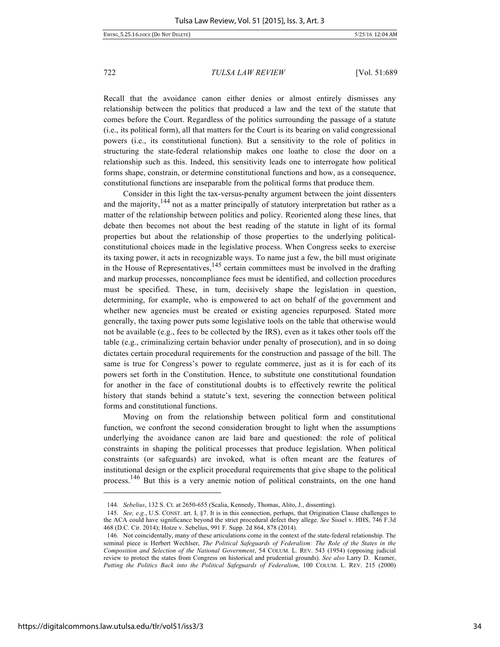Recall that the avoidance canon either denies or almost entirely dismisses any relationship between the politics that produced a law and the text of the statute that comes before the Court. Regardless of the politics surrounding the passage of a statute (i.e., its political form), all that matters for the Court is its bearing on valid congressional powers (i.e., its constitutional function). But a sensitivity to the role of politics in structuring the state-federal relationship makes one loathe to close the door on a relationship such as this. Indeed, this sensitivity leads one to interrogate how political forms shape, constrain, or determine constitutional functions and how, as a consequence, constitutional functions are inseparable from the political forms that produce them.

Consider in this light the tax-versus-penalty argument between the joint dissenters and the majority,  $144$  not as a matter principally of statutory interpretation but rather as a matter of the relationship between politics and policy. Reoriented along these lines, that debate then becomes not about the best reading of the statute in light of its formal properties but about the relationship of those properties to the underlying politicalconstitutional choices made in the legislative process. When Congress seeks to exercise its taxing power, it acts in recognizable ways. To name just a few, the bill must originate in the House of Representatives,  $145$  certain committees must be involved in the drafting and markup processes, noncompliance fees must be identified, and collection procedures must be specified. These, in turn, decisively shape the legislation in question, determining, for example, who is empowered to act on behalf of the government and whether new agencies must be created or existing agencies repurposed. Stated more generally, the taxing power puts some legislative tools on the table that otherwise would not be available (e.g., fees to be collected by the IRS), even as it takes other tools off the table (e.g., criminalizing certain behavior under penalty of prosecution), and in so doing dictates certain procedural requirements for the construction and passage of the bill. The same is true for Congress's power to regulate commerce, just as it is for each of its powers set forth in the Constitution. Hence, to substitute one constitutional foundation for another in the face of constitutional doubts is to effectively rewrite the political history that stands behind a statute's text, severing the connection between political forms and constitutional functions.

Moving on from the relationship between political form and constitutional function, we confront the second consideration brought to light when the assumptions underlying the avoidance canon are laid bare and questioned: the role of political constraints in shaping the political processes that produce legislation. When political constraints (or safeguards) are invoked, what is often meant are the features of institutional design or the explicit procedural requirements that give shape to the political process.<sup>146</sup> But this is a very anemic notion of political constraints, on the one hand

<sup>144.</sup> *Sebelius*, 132 S. Ct. at 2650-655 (Scalia, Kennedy, Thomas, Alito, J., dissenting).

<sup>145.</sup> *See, e.g.*, U.S. CONST. art. I, §7. It is in this connection, perhaps, that Origination Clause challenges to the ACA could have significance beyond the strict procedural defect they allege. *See* Sissel v. HHS, 746 F.3d 468 (D.C. Cir. 2014); Hotze v. Sebelius, 991 F. Supp. 2d 864, 878 (2014).

<sup>146.</sup> Not coincidentally, many of these articulations come in the context of the state-federal relationship. The seminal piece is Herbert Wechlser, *The Political Safeguards of Federalism: The Role of the States in the Composition and Selection of the National Government*, 54 COLUM. L. REV. 543 (1954) (opposing judicial review to protect the states from Congress on historical and prudential grounds). *See also* Larry D. Kramer, *Putting the Politics Back into the Political Safeguards of Federalism*, 100 COLUM. L. REV. 215 (2000)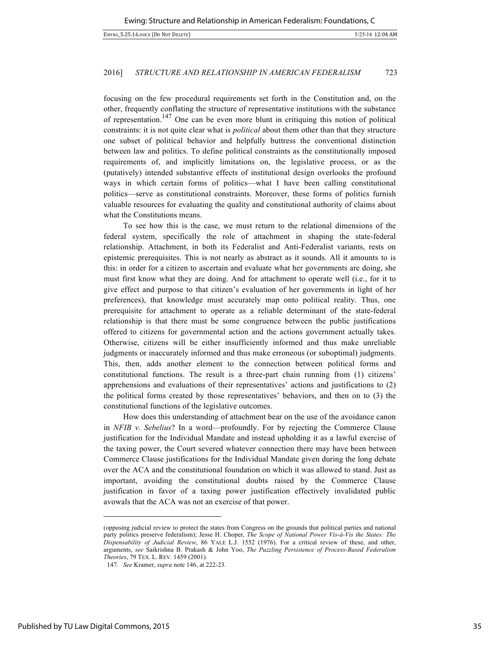focusing on the few procedural requirements set forth in the Constitution and, on the other, frequently conflating the structure of representative institutions with the substance of representation.<sup>147</sup> One can be even more blunt in critiquing this notion of political constraints: it is not quite clear what is *political* about them other than that they structure one subset of political behavior and helpfully buttress the conventional distinction between law and politics. To define political constraints as the constitutionally imposed requirements of, and implicitly limitations on, the legislative process, or as the (putatively) intended substantive effects of institutional design overlooks the profound ways in which certain forms of politics—what I have been calling constitutional politics—serve as constitutional constraints. Moreover, these forms of politics furnish valuable resources for evaluating the quality and constitutional authority of claims about what the Constitutions means.

To see how this is the case, we must return to the relational dimensions of the federal system, specifically the role of attachment in shaping the state-federal relationship. Attachment, in both its Federalist and Anti-Federalist variants, rests on epistemic prerequisites. This is not nearly as abstract as it sounds. All it amounts to is this: in order for a citizen to ascertain and evaluate what her governments are doing, she must first know what they are doing. And for attachment to operate well (i.e., for it to give effect and purpose to that citizen's evaluation of her governments in light of her preferences), that knowledge must accurately map onto political reality. Thus, one prerequisite for attachment to operate as a reliable determinant of the state-federal relationship is that there must be some congruence between the public justifications offered to citizens for governmental action and the actions government actually takes. Otherwise, citizens will be either insufficiently informed and thus make unreliable judgments or inaccurately informed and thus make erroneous (or suboptimal) judgments. This, then, adds another element to the connection between political forms and constitutional functions. The result is a three-part chain running from (1) citizens' apprehensions and evaluations of their representatives' actions and justifications to (2) the political forms created by those representatives' behaviors, and then on to (3) the constitutional functions of the legislative outcomes.

How does this understanding of attachment bear on the use of the avoidance canon in *NFIB v. Sebelius*? In a word—profoundly. For by rejecting the Commerce Clause justification for the Individual Mandate and instead upholding it as a lawful exercise of the taxing power, the Court severed whatever connection there may have been between Commerce Clause justifications for the Individual Mandate given during the long debate over the ACA and the constitutional foundation on which it was allowed to stand. Just as important, avoiding the constitutional doubts raised by the Commerce Clause justification in favor of a taxing power justification effectively invalidated public avowals that the ACA was not an exercise of that power.

<sup>(</sup>opposing judicial review to protect the states from Congress on the grounds that political parties and national party politics preserve federalism); Jesse H. Choper, *The Scope of National Power Vis-à-Vis the States: The Dispensability of Judicial Review*, 86 YALE L.J. 1552 (1976). For a critical review of these, and other, arguments, *see* Saikrishna B. Prakash & John Yoo, *The Puzzling Persistence of Process-Based Federalism Theories*, 79 TEX. L. REV. 1459 (2001).

<sup>147.</sup> *See* Kramer, *supra* note 146, at 222-23.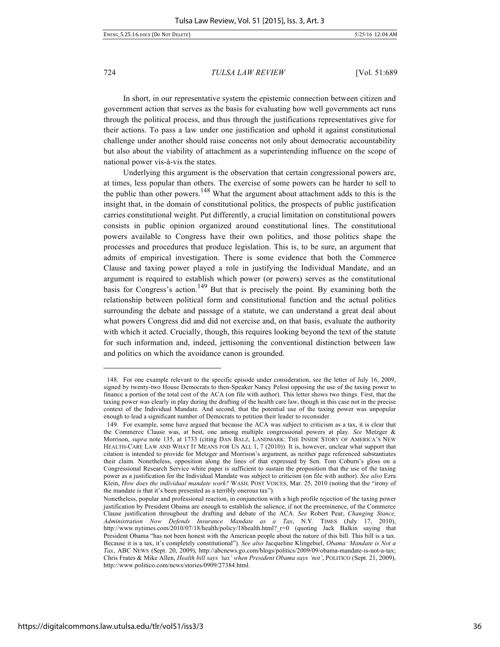In short, in our representative system the epistemic connection between citizen and government action that serves as the basis for evaluating how well governments act runs through the political process, and thus through the justifications representatives give for their actions. To pass a law under one justification and uphold it against constitutional challenge under another should raise concerns not only about democratic accountability but also about the viability of attachment as a superintending influence on the scope of national power vis-à-vis the states.

Underlying this argument is the observation that certain congressional powers are, at times, less popular than others. The exercise of some powers can be harder to sell to the public than other powers.<sup>148</sup> What the argument about attachment adds to this is the insight that, in the domain of constitutional politics, the prospects of public justification carries constitutional weight. Put differently, a crucial limitation on constitutional powers consists in public opinion organized around constitutional lines. The constitutional powers available to Congress have their own politics, and those politics shape the processes and procedures that produce legislation. This is, to be sure, an argument that admits of empirical investigation. There is some evidence that both the Commerce Clause and taxing power played a role in justifying the Individual Mandate, and an argument is required to establish which power (or powers) serves as the constitutional basis for Congress's action.<sup>149</sup> But that is precisely the point. By examining both the relationship between political form and constitutional function and the actual politics surrounding the debate and passage of a statute, we can understand a great deal about what powers Congress did and did not exercise and, on that basis, evaluate the authority with which it acted. Crucially, though, this requires looking beyond the text of the statute for such information and, indeed, jettisoning the conventional distinction between law and politics on which the avoidance canon is grounded.

<sup>148.</sup> For one example relevant to the specific episode under consideration, see the letter of July 16, 2009, signed by twenty-two House Democrats to then-Speaker Nancy Pelosi opposing the use of the taxing power to finance a portion of the total cost of the ACA (on file with author). This letter shows two things. First, that the taxing power was clearly in play during the drafting of the health care law, though in this case not in the precise context of the Individual Mandate. And second, that the potential use of the taxing power was unpopular enough to lead a significant number of Democrats to petition their leader to reconsider.

<sup>149.</sup> For example, some have argued that because the ACA was subject to criticism as a tax, it is clear that the Commerce Clause was, at best, one among multiple congressional powers at play. *See* Metzger & Morrison, *supra* note 135, at 1733 (citing DAN BALZ, LANDMARK: THE INSIDE STORY OF AMERICA'S NEW HEALTH-CARE LAW AND WHAT IT MEANS FOR US ALL 1, 7 (2010)). It is, however, unclear what support that citation is intended to provide for Metzger and Morrison's argument, as neither page referenced substantiates their claim. Nonetheless, opposition along the lines of that expressed by Sen. Tom Coburn's gloss on a Congressional Research Service white paper is sufficient to sustain the proposition that the use of the taxing power as a justification for the Individual Mandate was subject to criticism (on file with author). *See also* Ezra Klein, *How does the individual mandate work?* WASH. POST VOICES, Mar. 25, 2010 (noting that the "irony of the mandate is that it's been presented as a terribly onerous tax").

Nonetheless, popular and professional reaction, in conjunction with a high profile rejection of the taxing power justification by President Obama are enough to establish the salience, if not the preeminence, of the Commerce Clause justification throughout the drafting and debate of the ACA. *See* Robert Pear, *Changing Stance, Administration Now Defends Insurance Mandate as a Tax*, N.Y. TIMES (July 17, 2010), http://www.nytimes.com/2010/07/18/health/policy/18health.html? r=0 (quoting Jack Balkin saying that President Obama "has not been honest with the American people about the nature of this bill. This bill is a tax. Because it is a tax, it's completely constitutional"). *See also* Jacqueline Klingebiel, *Obama: Mandate is Not a Tax*, ABC NEWS (Sept. 20, 2009), http://abcnews.go.com/blogs/politics/2009/09/obama-mandate-is-not-a-tax; Chris Frates & Mike Allen, *Health bill says 'tax' when President Obama says 'not'*, POLITICO (Sept. 21, 2009), http://www.politico.com/news/stories/0909/27384.html.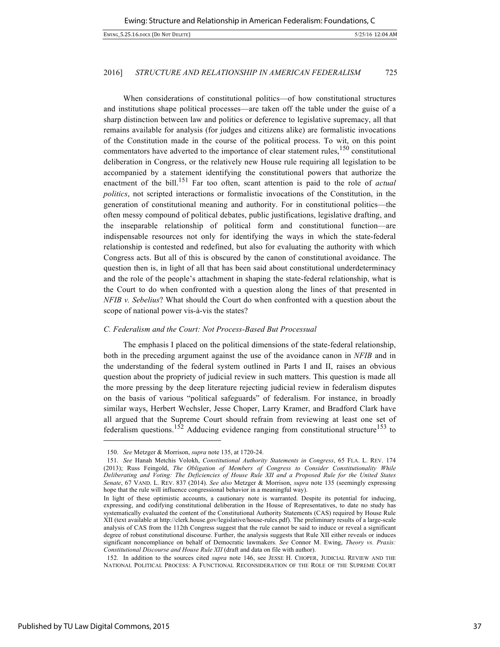When considerations of constitutional politics—of how constitutional structures and institutions shape political processes—are taken off the table under the guise of a sharp distinction between law and politics or deference to legislative supremacy, all that remains available for analysis (for judges and citizens alike) are formalistic invocations of the Constitution made in the course of the political process. To wit, on this point commentators have adverted to the importance of clear statement rules, $150$  constitutional deliberation in Congress, or the relatively new House rule requiring all legislation to be accompanied by a statement identifying the constitutional powers that authorize the enactment of the bill.<sup>151</sup> Far too often, scant attention is paid to the role of *actual politics*, not scripted interactions or formalistic invocations of the Constitution, in the generation of constitutional meaning and authority. For in constitutional politics—the often messy compound of political debates, public justifications, legislative drafting, and the inseparable relationship of political form and constitutional function—are indispensable resources not only for identifying the ways in which the state-federal relationship is contested and redefined, but also for evaluating the authority with which Congress acts. But all of this is obscured by the canon of constitutional avoidance. The question then is, in light of all that has been said about constitutional underdeterminacy and the role of the people's attachment in shaping the state-federal relationship, what is the Court to do when confronted with a question along the lines of that presented in *NFIB v. Sebelius*? What should the Court do when confronted with a question about the scope of national power vis-à-vis the states?

# *C. Federalism and the Court: Not Process-Based But Processual*

The emphasis I placed on the political dimensions of the state-federal relationship, both in the preceding argument against the use of the avoidance canon in *NFIB* and in the understanding of the federal system outlined in Parts I and II, raises an obvious question about the propriety of judicial review in such matters. This question is made all the more pressing by the deep literature rejecting judicial review in federalism disputes on the basis of various "political safeguards" of federalism. For instance, in broadly similar ways, Herbert Wechsler, Jesse Choper, Larry Kramer, and Bradford Clark have all argued that the Supreme Court should refrain from reviewing at least one set of federalism questions.<sup>152</sup> Adducing evidence ranging from constitutional structure<sup>153</sup> to

-

<sup>150.</sup> *See* Metzger & Morrison, *supra* note 135, at 1720-24.

<sup>151.</sup> *See* Hanah Metchis Volokh, *Constitutional Authority Statements in Congress*, 65 FLA. L. REV. 174 (2013); Russ Feingold, *The Obligation of Members of Congress to Consider Constitutionality While Deliberating and Voting: The Deficiencies of House Rule XII and a Proposed Rule for the United States Senate*, 67 VAND. L. REV. 837 (2014). *See also* Metzger & Morrison, *supra* note 135 (seemingly expressing hope that the rule will influence congressional behavior in a meaningful way).

In light of these optimistic accounts, a cautionary note is warranted. Despite its potential for inducing, expressing, and codifying constitutional deliberation in the House of Representatives, to date no study has systematically evaluated the content of the Constitutional Authority Statements (CAS) required by House Rule XII (text available at http://clerk.house.gov/legislative/house-rules.pdf). The preliminary results of a large-scale analysis of CAS from the 112th Congress suggest that the rule cannot be said to induce or reveal a significant degree of robust constitutional discourse. Further, the analysis suggests that Rule XII either reveals or induces significant noncompliance on behalf of Democratic lawmakers. *See* Connor M. Ewing, *Theory vs. Praxis: Constitutional Discourse and House Rule XII* (draft and data on file with author).

<sup>152.</sup> In addition to the sources cited *supra* note 146, see JESSE H. CHOPER, JUDICIAL REVIEW AND THE NATIONAL POLITICAL PROCESS: A FUNCTIONAL RECONSIDERATION OF THE ROLE OF THE SUPREME COURT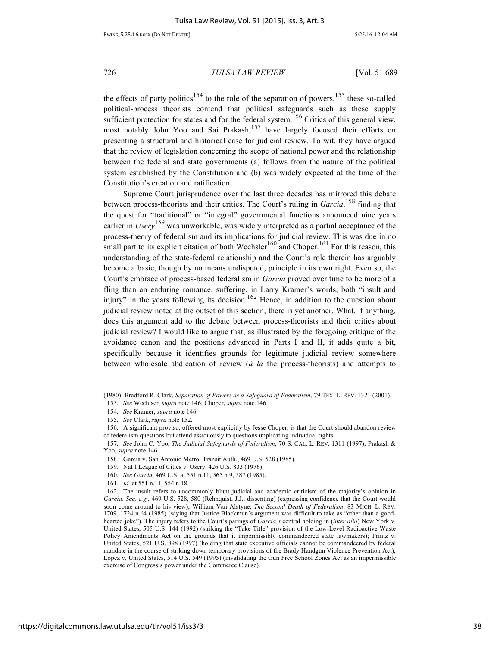the effects of party politics<sup>154</sup> to the role of the separation of powers,<sup>155</sup> these so-called political-process theorists contend that political safeguards such as these supply sufficient protection for states and for the federal system.<sup>156</sup> Critics of this general view, most notably John Yoo and Sai Prakash,<sup>157</sup> have largely focused their efforts on presenting a structural and historical case for judicial review. To wit, they have argued that the review of legislation concerning the scope of national power and the relationship between the federal and state governments (a) follows from the nature of the political system established by the Constitution and (b) was widely expected at the time of the Constitution's creation and ratification.

Supreme Court jurisprudence over the last three decades has mirrored this debate between process-theorists and their critics. The Court's ruling in *Garcia*, <sup>158</sup> finding that the quest for "traditional" or "integral" governmental functions announced nine years earlier in *Usery*<sup>159</sup> was unworkable, was widely interpreted as a partial acceptance of the process-theory of federalism and its implications for judicial review. This was due in no small part to its explicit citation of both Wechsler<sup>160</sup> and Choper.<sup>161</sup> For this reason, this understanding of the state-federal relationship and the Court's role therein has arguably become a basic, though by no means undisputed, principle in its own right. Even so, the Court's embrace of process-based federalism in *Garcia* proved over time to be more of a fling than an enduring romance, suffering, in Larry Kramer's words, both "insult and injury" in the years following its decision.<sup>162</sup> Hence, in addition to the question about judicial review noted at the outset of this section, there is yet another. What, if anything, does this argument add to the debate between process-theorists and their critics about judicial review? I would like to argue that, as illustrated by the foregoing critique of the avoidance canon and the positions advanced in Parts I and II, it adds quite a bit, specifically because it identifies grounds for legitimate judicial review somewhere between wholesale abdication of review (*à la* the process-theorists) and attempts to

<sup>(1980);</sup> Bradford R. Clark, *Separation of Powers as a Safeguard of Federalism*, 79 TEX. L. REV. 1321 (2001).

<sup>153.</sup> *See* Wechlser, *supra* note 146; Choper, *supra* note 146.

<sup>154.</sup> *See* Kramer, *supra* note 146.

<sup>155.</sup> *See* Clark, *supra* note 152.

<sup>156.</sup> A significant proviso, offered most explicitly by Jesse Choper, is that the Court should abandon review of federalism questions but attend assiduously to questions implicating individual rights.

<sup>157.</sup> *See* John C. Yoo, *The Judicial Safeguards of Federalism*, 70 S. CAL. L. REV. 1311 (1997); Prakash & Yoo, *supra* note 146.

<sup>158</sup>*.* Garcia v. San Antonio Metro. Transit Auth., 469 U.S. 528 (1985).

<sup>159</sup>*.* Nat'l League of Cities v. Usery, 426 U.S. 833 (1976).

<sup>160.</sup> *See Garcia*, 469 U.S. at 551 n.11, 565 n.9, 587 (1985).

<sup>161</sup>*. Id.* at 551 n.11, 554 n.18.

<sup>162.</sup> The insult refers to uncommonly blunt judicial and academic criticism of the majority's opinion in *Garcia*. *See, e.g.*, 469 U.S. 528, 580 (Rehnquist, J.J., dissenting) (expressing confidence that the Court would soon come around to his view); William Van Alstyne, *The Second Death of Federalism*, 83 MICH. L. REV. 1709, 1724 n.64 (1985) (saying that Justice Blackmun's argument was difficult to take as "other than a goodhearted joke"). The injury refers to the Court's parings of *Garcia's* central holding in (*inter alia*) New York v. United States, 505 U.S. 144 (1992) (striking the "Take Title" provision of the Low-Level Radioactive Waste Policy Amendments Act on the grounds that it impermissibly commandeered state lawmakers); Printz v. United States, 521 U.S. 898 (1997) (holding that state executive officials cannot be commandeered by federal mandate in the course of striking down temporary provisions of the Brady Handgun Violence Prevention Act); Lopez v. United States, 514 U.S. 549 (1995) (invalidating the Gun Free School Zones Act as an impermissible exercise of Congress's power under the Commerce Clause).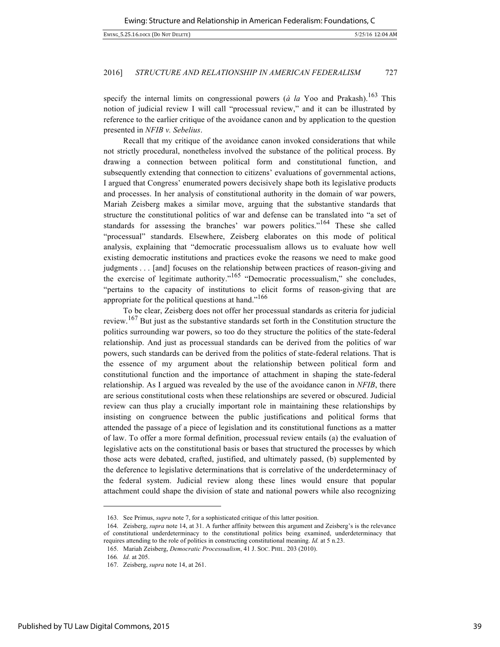specify the internal limits on congressional powers ( $\dot{a}$  la Yoo and Prakash).<sup>163</sup> This notion of judicial review I will call "processual review," and it can be illustrated by reference to the earlier critique of the avoidance canon and by application to the question presented in *NFIB v. Sebelius*.

Recall that my critique of the avoidance canon invoked considerations that while not strictly procedural, nonetheless involved the substance of the political process. By drawing a connection between political form and constitutional function, and subsequently extending that connection to citizens' evaluations of governmental actions, I argued that Congress' enumerated powers decisively shape both its legislative products and processes. In her analysis of constitutional authority in the domain of war powers, Mariah Zeisberg makes a similar move, arguing that the substantive standards that structure the constitutional politics of war and defense can be translated into "a set of standards for assessing the branches' war powers politics."<sup>164</sup> These she called "processual" standards. Elsewhere, Zeisberg elaborates on this mode of political analysis, explaining that "democratic processualism allows us to evaluate how well existing democratic institutions and practices evoke the reasons we need to make good judgments . . . [and] focuses on the relationship between practices of reason-giving and the exercise of legitimate authority."<sup>165</sup> "Democratic processualism," she concludes, "pertains to the capacity of institutions to elicit forms of reason-giving that are appropriate for the political questions at hand."<sup>166</sup>

To be clear, Zeisberg does not offer her processual standards as criteria for judicial review.<sup>167</sup> But just as the substantive standards set forth in the Constitution structure the politics surrounding war powers, so too do they structure the politics of the state-federal relationship. And just as processual standards can be derived from the politics of war powers, such standards can be derived from the politics of state-federal relations. That is the essence of my argument about the relationship between political form and constitutional function and the importance of attachment in shaping the state-federal relationship. As I argued was revealed by the use of the avoidance canon in *NFIB*, there are serious constitutional costs when these relationships are severed or obscured. Judicial review can thus play a crucially important role in maintaining these relationships by insisting on congruence between the public justifications and political forms that attended the passage of a piece of legislation and its constitutional functions as a matter of law. To offer a more formal definition, processual review entails (a) the evaluation of legislative acts on the constitutional basis or bases that structured the processes by which those acts were debated, crafted, justified, and ultimately passed, (b) supplemented by the deference to legislative determinations that is correlative of the underdeterminacy of the federal system. Judicial review along these lines would ensure that popular attachment could shape the division of state and national powers while also recognizing

<sup>163.</sup> See Primus, *supra* note 7, for a sophisticated critique of this latter position.

<sup>164.</sup> Zeisberg, *supra* note 14, at 31. A further affinity between this argument and Zeisberg's is the relevance of constitutional underdeterminacy to the constitutional politics being examined, underdeterminacy that requires attending to the role of politics in constructing constitutional meaning. *Id.* at 5 n.23.

<sup>165.</sup> Mariah Zeisberg, *Democratic Processualism*, 41 J. SOC. PHIL. 203 (2010).

<sup>166</sup>*. Id.* at 205.

<sup>167.</sup> Zeisberg, *supra* note 14, at 261.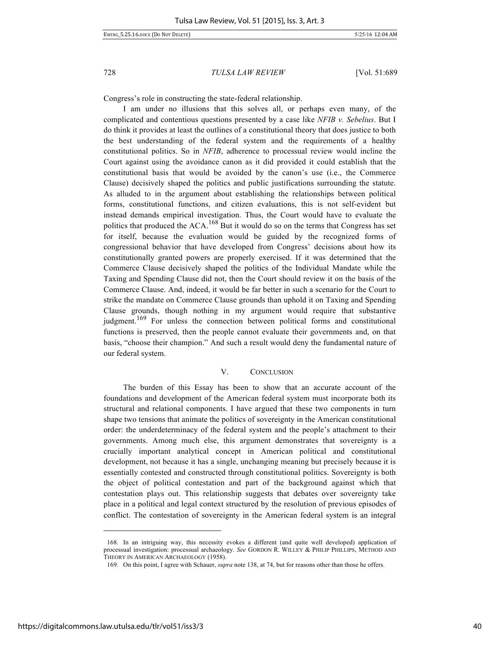Congress's role in constructing the state-federal relationship.

I am under no illusions that this solves all, or perhaps even many, of the complicated and contentious questions presented by a case like *NFIB v. Sebelius*. But I do think it provides at least the outlines of a constitutional theory that does justice to both the best understanding of the federal system and the requirements of a healthy constitutional politics. So in *NFIB*, adherence to processual review would incline the Court against using the avoidance canon as it did provided it could establish that the constitutional basis that would be avoided by the canon's use (i.e., the Commerce Clause) decisively shaped the politics and public justifications surrounding the statute. As alluded to in the argument about establishing the relationships between political forms, constitutional functions, and citizen evaluations, this is not self-evident but instead demands empirical investigation. Thus, the Court would have to evaluate the politics that produced the  $ACA$ .<sup>168</sup> But it would do so on the terms that Congress has set for itself, because the evaluation would be guided by the recognized forms of congressional behavior that have developed from Congress' decisions about how its constitutionally granted powers are properly exercised. If it was determined that the Commerce Clause decisively shaped the politics of the Individual Mandate while the Taxing and Spending Clause did not, then the Court should review it on the basis of the Commerce Clause. And, indeed, it would be far better in such a scenario for the Court to strike the mandate on Commerce Clause grounds than uphold it on Taxing and Spending Clause grounds, though nothing in my argument would require that substantive judgment.<sup>169</sup> For unless the connection between political forms and constitutional functions is preserved, then the people cannot evaluate their governments and, on that basis, "choose their champion." And such a result would deny the fundamental nature of our federal system.

#### V. CONCLUSION

The burden of this Essay has been to show that an accurate account of the foundations and development of the American federal system must incorporate both its structural and relational components. I have argued that these two components in turn shape two tensions that animate the politics of sovereignty in the American constitutional order: the underdeterminacy of the federal system and the people's attachment to their governments. Among much else, this argument demonstrates that sovereignty is a crucially important analytical concept in American political and constitutional development, not because it has a single, unchanging meaning but precisely because it is essentially contested and constructed through constitutional politics. Sovereignty is both the object of political contestation and part of the background against which that contestation plays out. This relationship suggests that debates over sovereignty take place in a political and legal context structured by the resolution of previous episodes of conflict. The contestation of sovereignty in the American federal system is an integral

<sup>168.</sup> In an intriguing way, this necessity evokes a different (and quite well developed) application of processual investigation: processual archaeology. *See* GORDON R. WILLEY & PHILIP PHILLIPS, METHOD AND THEORY IN AMERICAN ARCHAEOLOGY (1958).

<sup>169.</sup> On this point, I agree with Schauer, *supra* note 138, at 74, but for reasons other than those he offers.